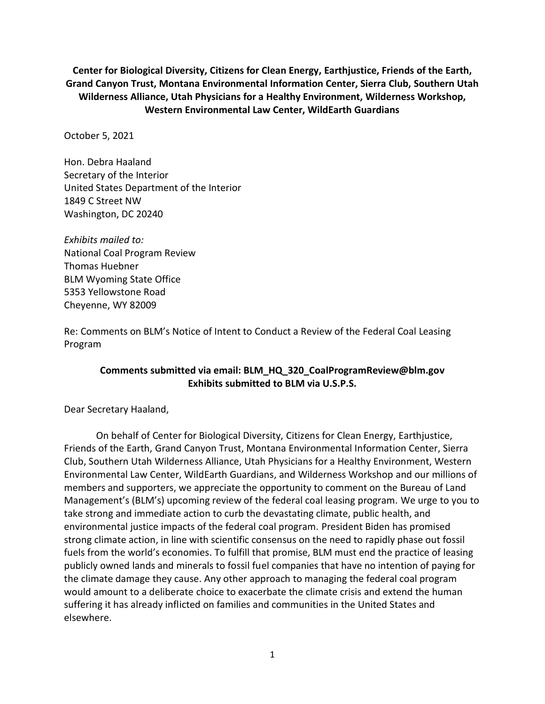**Center for Biological Diversity, Citizens for Clean Energy, Earthjustice, Friends of the Earth, Grand Canyon Trust, Montana Environmental Information Center, Sierra Club, Southern Utah Wilderness Alliance, Utah Physicians for a Healthy Environment, Wilderness Workshop, Western Environmental Law Center, WildEarth Guardians**

October 5, 2021

Hon. Debra Haaland Secretary of the Interior United States Department of the Interior 1849 C Street NW Washington, DC 20240

*Exhibits mailed to:*  National Coal Program Review Thomas Huebner BLM Wyoming State Office 5353 Yellowstone Road Cheyenne, WY 82009

Re: Comments on BLM's Notice of Intent to Conduct a Review of the Federal Coal Leasing Program

### **Comments submitted via email: BLM\_HQ\_320\_CoalProgramReview@blm.gov Exhibits submitted to BLM via U.S.P.S.**

Dear Secretary Haaland,

On behalf of Center for Biological Diversity, Citizens for Clean Energy, Earthjustice, Friends of the Earth, Grand Canyon Trust, Montana Environmental Information Center, Sierra Club, Southern Utah Wilderness Alliance, Utah Physicians for a Healthy Environment, Western Environmental Law Center, WildEarth Guardians, and Wilderness Workshop and our millions of members and supporters, we appreciate the opportunity to comment on the Bureau of Land Management's (BLM's) upcoming review of the federal coal leasing program. We urge to you to take strong and immediate action to curb the devastating climate, public health, and environmental justice impacts of the federal coal program. President Biden has promised strong climate action, in line with scientific consensus on the need to rapidly phase out fossil fuels from the world's economies. To fulfill that promise, BLM must end the practice of leasing publicly owned lands and minerals to fossil fuel companies that have no intention of paying for the climate damage they cause. Any other approach to managing the federal coal program would amount to a deliberate choice to exacerbate the climate crisis and extend the human suffering it has already inflicted on families and communities in the United States and elsewhere.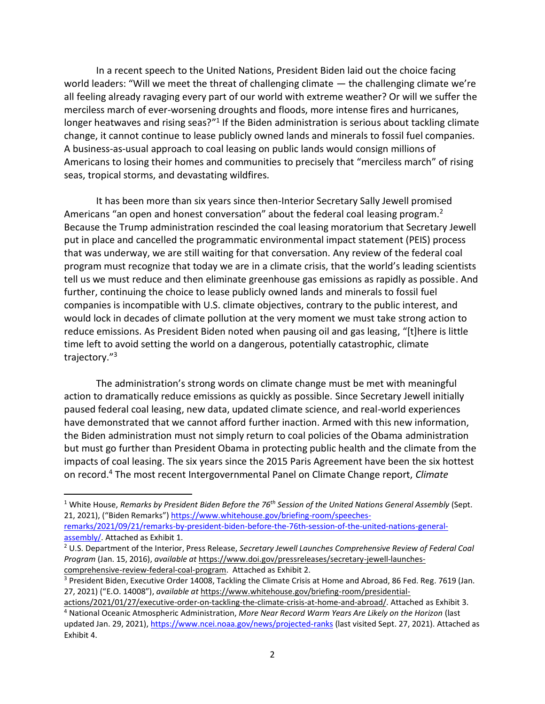In a recent speech to the United Nations, President Biden laid out the choice facing world leaders: "Will we meet the threat of challenging climate — the challenging climate we're all feeling already ravaging every part of our world with extreme weather? Or will we suffer the merciless march of ever-worsening droughts and floods, more intense fires and hurricanes, longer heatwaves and rising seas?"<sup>1</sup> If the Biden administration is serious about tackling climate change, it cannot continue to lease publicly owned lands and minerals to fossil fuel companies. A business-as-usual approach to coal leasing on public lands would consign millions of Americans to losing their homes and communities to precisely that "merciless march" of rising seas, tropical storms, and devastating wildfires.

It has been more than six years since then-Interior Secretary Sally Jewell promised Americans "an open and honest conversation" about the federal coal leasing program.<sup>2</sup> Because the Trump administration rescinded the coal leasing moratorium that Secretary Jewell put in place and cancelled the programmatic environmental impact statement (PEIS) process that was underway, we are still waiting for that conversation. Any review of the federal coal program must recognize that today we are in a climate crisis, that the world's leading scientists tell us we must reduce and then eliminate greenhouse gas emissions as rapidly as possible. And further, continuing the choice to lease publicly owned lands and minerals to fossil fuel companies is incompatible with U.S. climate objectives, contrary to the public interest, and would lock in decades of climate pollution at the very moment we must take strong action to reduce emissions. As President Biden noted when pausing oil and gas leasing, "[t]here is little time left to avoid setting the world on a dangerous, potentially catastrophic, climate trajectory."<sup>3</sup>

The administration's strong words on climate change must be met with meaningful action to dramatically reduce emissions as quickly as possible. Since Secretary Jewell initially paused federal coal leasing, new data, updated climate science, and real-world experiences have demonstrated that we cannot afford further inaction. Armed with this new information, the Biden administration must not simply return to coal policies of the Obama administration but must go further than President Obama in protecting public health and the climate from the impacts of coal leasing. The six years since the 2015 Paris Agreement have been the six hottest on record.<sup>4</sup> The most recent Intergovernmental Panel on Climate Change report, *Climate* 

<sup>1</sup> White House, *Remarks by President Biden Before the 76th Session of the United Nations General Assembly* (Sept. 21, 2021), ("Biden Remarks") [https://www.whitehouse.gov/briefing-room/speeches-](https://www.whitehouse.gov/briefing-room/speeches-remarks/2021/09/21/remarks-by-president-biden-before-the-76th-session-of-the-united-nations-general-assembly/)

[remarks/2021/09/21/remarks-by-president-biden-before-the-76th-session-of-the-united-nations-general](https://www.whitehouse.gov/briefing-room/speeches-remarks/2021/09/21/remarks-by-president-biden-before-the-76th-session-of-the-united-nations-general-assembly/)[assembly/.](https://www.whitehouse.gov/briefing-room/speeches-remarks/2021/09/21/remarks-by-president-biden-before-the-76th-session-of-the-united-nations-general-assembly/) Attached as Exhibit 1.

<sup>2</sup> U.S. Department of the Interior, Press Release, *Secretary Jewell Launches Comprehensive Review of Federal Coal Program* (Jan. 15, 2016), *available at* [https://www.doi.gov/pressreleases/secretary-jewell-launches](https://www.doi.gov/pressreleases/secretary-jewell-launches-comprehensive-review-federal-coal-program)[comprehensive-review-federal-coal-program.](https://www.doi.gov/pressreleases/secretary-jewell-launches-comprehensive-review-federal-coal-program) Attached as Exhibit 2.

<sup>&</sup>lt;sup>3</sup> President Biden, Executive Order 14008, Tackling the Climate Crisis at Home and Abroad, 86 Fed. Reg. 7619 (Jan. 27, 2021) ("E.O. 14008"), *available at* [https://www.whitehouse.gov/briefing-room/presidential-](https://www.whitehouse.gov/briefing-room/presidential-actions/2021/01/27/executive-order-on-tackling-the-climate-crisis-at-home-and-abroad/)

[actions/2021/01/27/executive-order-on-tackling-the-climate-crisis-at-home-and-abroad/.](https://www.whitehouse.gov/briefing-room/presidential-actions/2021/01/27/executive-order-on-tackling-the-climate-crisis-at-home-and-abroad/) Attached as Exhibit 3. <sup>4</sup> National Oceanic Atmospheric Administration, *More Near Record Warm Years Are Likely on the Horizon* (last updated Jan. 29, 2021)[, https://www.ncei.noaa.gov/news/projected-ranks](https://www.ncei.noaa.gov/news/projected-ranks) (last visited Sept. 27, 2021). Attached as Exhibit 4.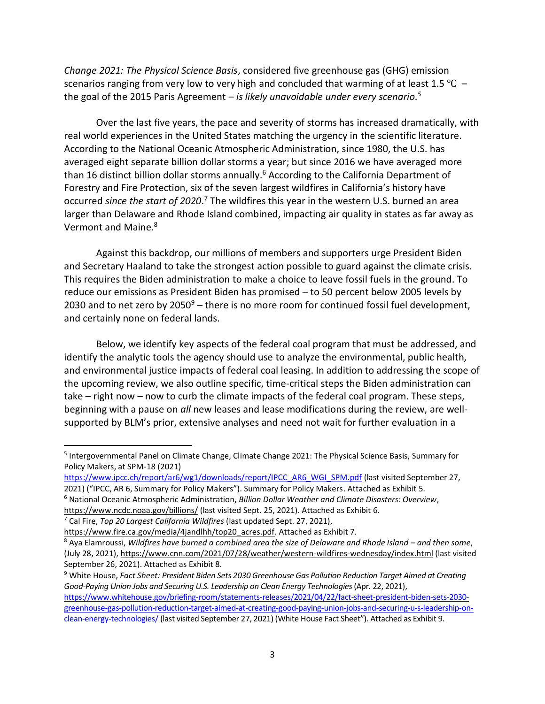*Change 2021: The Physical Science Basis*, considered five greenhouse gas (GHG) emission scenarios ranging from very low to very high and concluded that warming of at least 1.5 °C – the goal of the 2015 Paris Agreement – *is likely unavoidable under every scenario. 5*

Over the last five years, the pace and severity of storms has increased dramatically, with real world experiences in the United States matching the urgency in the scientific literature. According to the National Oceanic Atmospheric Administration, since 1980, the U.S. has averaged eight separate billion dollar storms a year; but since 2016 we have averaged more than 16 distinct billion dollar storms annually.<sup>6</sup> According to the California Department of Forestry and Fire Protection, six of the seven largest wildfires in California's history have occurred since the start of 2020.<sup>7</sup> The wildfires this year in the western U.S. burned an area larger than Delaware and Rhode Island combined, impacting air quality in states as far away as Vermont and Maine.<sup>8</sup>

Against this backdrop, our millions of members and supporters urge President Biden and Secretary Haaland to take the strongest action possible to guard against the climate crisis. This requires the Biden administration to make a choice to leave fossil fuels in the ground. To reduce our emissions as President Biden has promised – to 50 percent below 2005 levels by 2030 and to net zero by  $2050^9$  – there is no more room for continued fossil fuel development, and certainly none on federal lands.

Below, we identify key aspects of the federal coal program that must be addressed, and identify the analytic tools the agency should use to analyze the environmental, public health, and environmental justice impacts of federal coal leasing. In addition to addressing the scope of the upcoming review, we also outline specific, time-critical steps the Biden administration can take – right now – now to curb the climate impacts of the federal coal program. These steps, beginning with a pause on *all* new leases and lease modifications during the review, are wellsupported by BLM's prior, extensive analyses and need not wait for further evaluation in a

<sup>&</sup>lt;sup>5</sup> Intergovernmental Panel on Climate Change, Climate Change 2021: The Physical Science Basis, Summary for Policy Makers, at SPM-18 (2021)

[https://www.ipcc.ch/report/ar6/wg1/downloads/report/IPCC\\_AR6\\_WGI\\_SPM.pdf](https://www.ipcc.ch/report/ar6/wg1/downloads/report/IPCC_AR6_WGI_SPM.pdf) (last visited September 27, 2021) ("IPCC, AR 6, Summary for Policy Makers"). Summary for Policy Makers. Attached as Exhibit 5.

<sup>6</sup> National Oceanic Atmospheric Administration, *Billion Dollar Weather and Climate Disasters: Overview*,

<https://www.ncdc.noaa.gov/billions/> (last visited Sept. 25, 2021). Attached as Exhibit 6.

<sup>7</sup> Cal Fire, *Top 20 Largest California Wildfires* (last updated Sept. 27, 2021),

[https://www.fire.ca.gov/media/4jandlhh/top20\\_acres.pdf.](https://www.fire.ca.gov/media/4jandlhh/top20_acres.pdf) Attached as Exhibit 7.

<sup>8</sup> Aya Elamroussi, *Wildfires have burned a combined area the size of Delaware and Rhode Island – and then some*, (July 28, 2021)[, https://www.cnn.com/2021/07/28/weather/western-wildfires-wednesday/index.html](https://www.cnn.com/2021/07/28/weather/western-wildfires-wednesday/index.html) (last visited September 26, 2021). Attached as Exhibit 8.

<sup>9</sup> White House, *Fact Sheet: President Biden Sets 2030 Greenhouse Gas Pollution Reduction Target Aimed at Creating Good-Paying Union Jobs and Securing U.S. Leadership on Clean Energy Technologies* (Apr. 22, 2021), [https://www.whitehouse.gov/briefing-room/statements-releases/2021/04/22/fact-sheet-president-biden-sets-2030](https://www.whitehouse.gov/briefing-room/statements-releases/2021/04/22/fact-sheet-president-biden-sets-2030-greenhouse-gas-pollution-reduction-target-aimed-at-creating-good-paying-union-jobs-and-securing-u-s-leadership-on-clean-energy-technologies/) [greenhouse-gas-pollution-reduction-target-aimed-at-creating-good-paying-union-jobs-and-securing-u-s-leadership-on](https://www.whitehouse.gov/briefing-room/statements-releases/2021/04/22/fact-sheet-president-biden-sets-2030-greenhouse-gas-pollution-reduction-target-aimed-at-creating-good-paying-union-jobs-and-securing-u-s-leadership-on-clean-energy-technologies/)[clean-energy-technologies/](https://www.whitehouse.gov/briefing-room/statements-releases/2021/04/22/fact-sheet-president-biden-sets-2030-greenhouse-gas-pollution-reduction-target-aimed-at-creating-good-paying-union-jobs-and-securing-u-s-leadership-on-clean-energy-technologies/) (last visited September 27, 2021) (White House Fact Sheet"). Attached as Exhibit 9.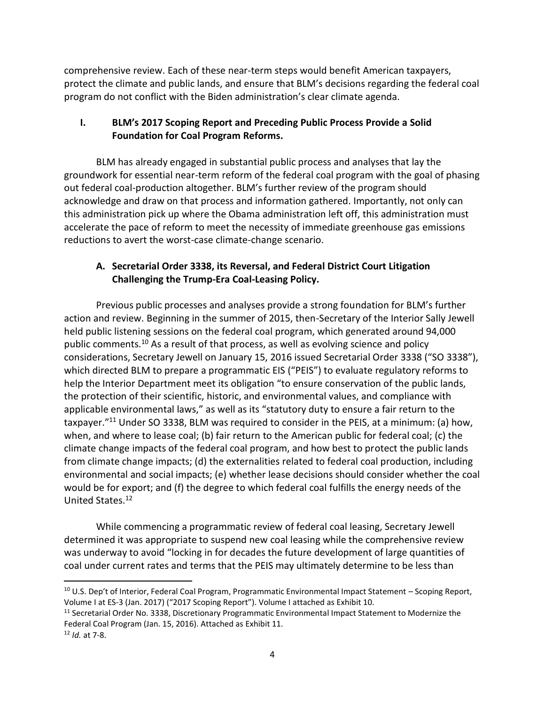comprehensive review. Each of these near-term steps would benefit American taxpayers, protect the climate and public lands, and ensure that BLM's decisions regarding the federal coal program do not conflict with the Biden administration's clear climate agenda.

# **I. BLM's 2017 Scoping Report and Preceding Public Process Provide a Solid Foundation for Coal Program Reforms.**

BLM has already engaged in substantial public process and analyses that lay the groundwork for essential near-term reform of the federal coal program with the goal of phasing out federal coal-production altogether. BLM's further review of the program should acknowledge and draw on that process and information gathered. Importantly, not only can this administration pick up where the Obama administration left off, this administration must accelerate the pace of reform to meet the necessity of immediate greenhouse gas emissions reductions to avert the worst-case climate-change scenario.

# **A. Secretarial Order 3338, its Reversal, and Federal District Court Litigation Challenging the Trump-Era Coal-Leasing Policy.**

Previous public processes and analyses provide a strong foundation for BLM's further action and review. Beginning in the summer of 2015, then-Secretary of the Interior Sally Jewell held public listening sessions on the federal coal program, which generated around 94,000 public comments.<sup>10</sup> As a result of that process, as well as evolving science and policy considerations, Secretary Jewell on January 15, 2016 issued Secretarial Order 3338 ("SO 3338"), which directed BLM to prepare a programmatic EIS ("PEIS") to evaluate regulatory reforms to help the Interior Department meet its obligation "to ensure conservation of the public lands, the protection of their scientific, historic, and environmental values, and compliance with applicable environmental laws," as well as its "statutory duty to ensure a fair return to the taxpayer."<sup>11</sup> Under SO 3338, BLM was required to consider in the PEIS, at a minimum: (a) how, when, and where to lease coal; (b) fair return to the American public for federal coal; (c) the climate change impacts of the federal coal program, and how best to protect the public lands from climate change impacts; (d) the externalities related to federal coal production, including environmental and social impacts; (e) whether lease decisions should consider whether the coal would be for export; and (f) the degree to which federal coal fulfills the energy needs of the United States.<sup>12</sup>

While commencing a programmatic review of federal coal leasing, Secretary Jewell determined it was appropriate to suspend new coal leasing while the comprehensive review was underway to avoid "locking in for decades the future development of large quantities of coal under current rates and terms that the PEIS may ultimately determine to be less than

<sup>10</sup> U.S. Dep't of Interior, Federal Coal Program, Programmatic Environmental Impact Statement – Scoping Report, Volume I at ES-3 (Jan. 2017) ("2017 Scoping Report"). Volume I attached as Exhibit 10.

<sup>&</sup>lt;sup>11</sup> Secretarial Order No. 3338, Discretionary Programmatic Environmental Impact Statement to Modernize the Federal Coal Program (Jan. 15, 2016). Attached as Exhibit 11.

<sup>12</sup> *Id.* at 7-8.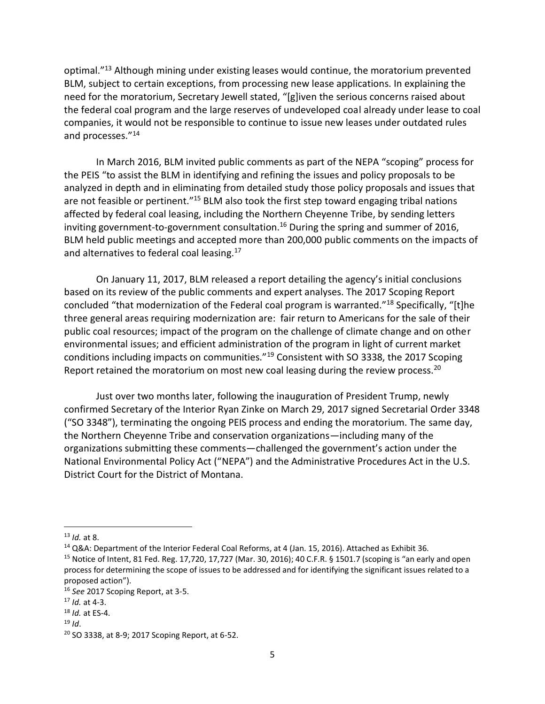optimal."<sup>13</sup> Although mining under existing leases would continue, the moratorium prevented BLM, subject to certain exceptions, from processing new lease applications. In explaining the need for the moratorium, Secretary Jewell stated, "[g]iven the serious concerns raised about the federal coal program and the large reserves of undeveloped coal already under lease to coal companies, it would not be responsible to continue to issue new leases under outdated rules and processes."<sup>14</sup>

In March 2016, BLM invited public comments as part of the NEPA "scoping" process for the PEIS "to assist the BLM in identifying and refining the issues and policy proposals to be analyzed in depth and in eliminating from detailed study those policy proposals and issues that are not feasible or pertinent."<sup>15</sup> BLM also took the first step toward engaging tribal nations affected by federal coal leasing, including the Northern Cheyenne Tribe, by sending letters inviting government-to-government consultation.<sup>16</sup> During the spring and summer of 2016, BLM held public meetings and accepted more than 200,000 public comments on the impacts of and alternatives to federal coal leasing.<sup>17</sup>

On January 11, 2017, BLM released a report detailing the agency's initial conclusions based on its review of the public comments and expert analyses. The 2017 Scoping Report concluded "that modernization of the Federal coal program is warranted."<sup>18</sup> Specifically, "[t]he three general areas requiring modernization are: fair return to Americans for the sale of their public coal resources; impact of the program on the challenge of climate change and on other environmental issues; and efficient administration of the program in light of current market conditions including impacts on communities."<sup>19</sup> Consistent with SO 3338, the 2017 Scoping Report retained the moratorium on most new coal leasing during the review process.<sup>20</sup>

Just over two months later, following the inauguration of President Trump, newly confirmed Secretary of the Interior Ryan Zinke on March 29, 2017 signed Secretarial Order 3348 ("SO 3348"), terminating the ongoing PEIS process and ending the moratorium. The same day, the Northern Cheyenne Tribe and conservation organizations—including many of the organizations submitting these comments—challenged the government's action under the National Environmental Policy Act ("NEPA") and the Administrative Procedures Act in the U.S. District Court for the District of Montana.

<sup>13</sup> *Id.* at 8.

<sup>&</sup>lt;sup>14</sup> Q&A: Department of the Interior Federal Coal Reforms, at 4 (Jan. 15, 2016). Attached as Exhibit 36.

<sup>&</sup>lt;sup>15</sup> Notice of Intent, 81 Fed. Reg. 17,720, 17,727 (Mar. 30, 2016); 40 C.F.R. § 1501.7 (scoping is "an early and open process for determining the scope of issues to be addressed and for identifying the significant issues related to a proposed action").

<sup>16</sup> *See* 2017 Scoping Report, at 3-5.

<sup>17</sup> *Id.* at 4-3.

<sup>18</sup> *Id.* at ES-4.

 $19$  *Id.* 

<sup>20</sup> SO 3338, at 8-9; 2017 Scoping Report, at 6-52.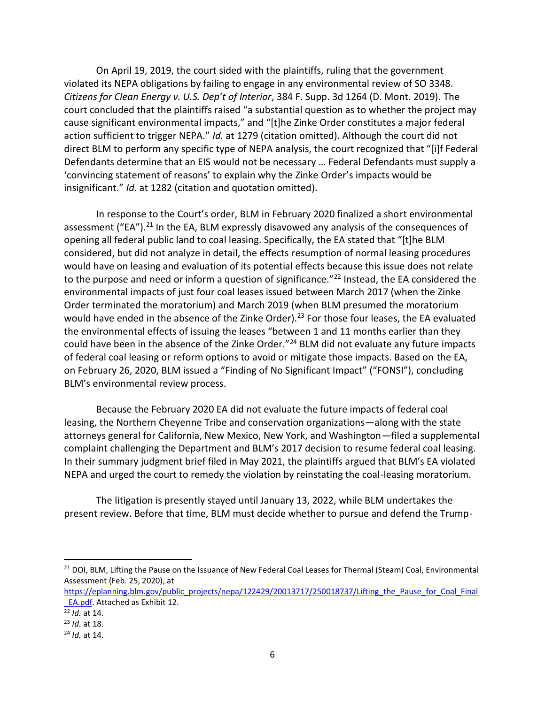On April 19, 2019, the court sided with the plaintiffs, ruling that the government violated its NEPA obligations by failing to engage in any environmental review of SO 3348. *Citizens for Clean Energy v. U.S. Dep't of Interior*, 384 F. Supp. 3d 1264 (D. Mont. 2019). The court concluded that the plaintiffs raised "a substantial question as to whether the project may cause significant environmental impacts," and "[t]he Zinke Order constitutes a major federal action sufficient to trigger NEPA." *Id.* at 1279 (citation omitted). Although the court did not direct BLM to perform any specific type of NEPA analysis, the court recognized that "[i]f Federal Defendants determine that an EIS would not be necessary … Federal Defendants must supply a 'convincing statement of reasons' to explain why the Zinke Order's impacts would be insignificant." *Id.* at 1282 (citation and quotation omitted).

In response to the Court's order, BLM in February 2020 finalized a short environmental assessment ("EA").<sup>21</sup> In the EA, BLM expressly disavowed any analysis of the consequences of opening all federal public land to coal leasing. Specifically, the EA stated that "[t]he BLM considered, but did not analyze in detail, the effects resumption of normal leasing procedures would have on leasing and evaluation of its potential effects because this issue does not relate to the purpose and need or inform a question of significance."<sup>22</sup> Instead, the EA considered the environmental impacts of just four coal leases issued between March 2017 (when the Zinke Order terminated the moratorium) and March 2019 (when BLM presumed the moratorium would have ended in the absence of the Zinke Order).<sup>23</sup> For those four leases, the EA evaluated the environmental effects of issuing the leases "between 1 and 11 months earlier than they could have been in the absence of the Zinke Order."<sup>24</sup> BLM did not evaluate any future impacts of federal coal leasing or reform options to avoid or mitigate those impacts. Based on the EA, on February 26, 2020, BLM issued a "Finding of No Significant Impact" ("FONSI"), concluding BLM's environmental review process.

Because the February 2020 EA did not evaluate the future impacts of federal coal leasing, the Northern Cheyenne Tribe and conservation organizations—along with the state attorneys general for California, New Mexico, New York, and Washington—filed a supplemental complaint challenging the Department and BLM's 2017 decision to resume federal coal leasing. In their summary judgment brief filed in May 2021, the plaintiffs argued that BLM's EA violated NEPA and urged the court to remedy the violation by reinstating the coal-leasing moratorium.

The litigation is presently stayed until January 13, 2022, while BLM undertakes the present review. Before that time, BLM must decide whether to pursue and defend the Trump-

<sup>&</sup>lt;sup>21</sup> DOI, BLM, Lifting the Pause on the Issuance of New Federal Coal Leases for Thermal (Steam) Coal, Environmental Assessment (Feb. 25, 2020), at

[https://eplanning.blm.gov/public\\_projects/nepa/122429/20013717/250018737/Lifting\\_the\\_Pause\\_for\\_Coal\\_Final](https://eplanning.blm.gov/public_projects/nepa/122429/20013717/250018737/Lifting_the_Pause_for_Coal_Final_EA.pdf)\_ [\\_EA.pdf.](https://eplanning.blm.gov/public_projects/nepa/122429/20013717/250018737/Lifting_the_Pause_for_Coal_Final_EA.pdf) Attached as Exhibit 12.

 $\frac{22}{10}$  *at* 14.

<sup>23</sup> *Id.* at 18.

<sup>24</sup> *Id.* at 14.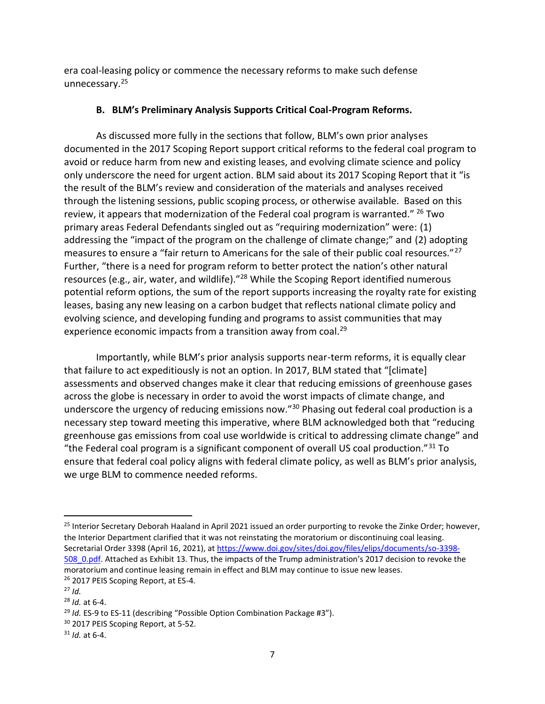era coal-leasing policy or commence the necessary reforms to make such defense unnecessary.<sup>25</sup>

### **B. BLM's Preliminary Analysis Supports Critical Coal-Program Reforms.**

As discussed more fully in the sections that follow, BLM's own prior analyses documented in the 2017 Scoping Report support critical reforms to the federal coal program to avoid or reduce harm from new and existing leases, and evolving climate science and policy only underscore the need for urgent action. BLM said about its 2017 Scoping Report that it "is the result of the BLM's review and consideration of the materials and analyses received through the listening sessions, public scoping process, or otherwise available. Based on this review, it appears that modernization of the Federal coal program is warranted." <sup>26</sup> Two primary areas Federal Defendants singled out as "requiring modernization" were: (1) addressing the "impact of the program on the challenge of climate change;" and (2) adopting measures to ensure a "fair return to Americans for the sale of their public coal resources."<sup>27</sup> Further, "there is a need for program reform to better protect the nation's other natural resources (e.g., air, water, and wildlife)."<sup>28</sup> While the Scoping Report identified numerous potential reform options, the sum of the report supports increasing the royalty rate for existing leases, basing any new leasing on a carbon budget that reflects national climate policy and evolving science, and developing funding and programs to assist communities that may experience economic impacts from a transition away from coal.<sup>29</sup>

Importantly, while BLM's prior analysis supports near-term reforms, it is equally clear that failure to act expeditiously is not an option. In 2017, BLM stated that "[climate] assessments and observed changes make it clear that reducing emissions of greenhouse gases across the globe is necessary in order to avoid the worst impacts of climate change, and underscore the urgency of reducing emissions now."<sup>30</sup> Phasing out federal coal production is a necessary step toward meeting this imperative, where BLM acknowledged both that "reducing greenhouse gas emissions from coal use worldwide is critical to addressing climate change" and "the Federal coal program is a significant component of overall US coal production." $31$  To ensure that federal coal policy aligns with federal climate policy, as well as BLM's prior analysis, we urge BLM to commence needed reforms.

<sup>&</sup>lt;sup>25</sup> Interior Secretary Deborah Haaland in April 2021 issued an order purporting to revoke the Zinke Order; however, the Interior Department clarified that it was not reinstating the moratorium or discontinuing coal leasing. Secretarial Order 3398 (April 16, 2021), at [https://www.doi.gov/sites/doi.gov/files/elips/documents/so-3398-](https://www.doi.gov/sites/doi.gov/files/elips/documents/so-3398-508_0.pdf) [508\\_0.pdf](https://www.doi.gov/sites/doi.gov/files/elips/documents/so-3398-508_0.pdf). Attached as Exhibit 13. Thus, the impacts of the Trump administration's 2017 decision to revoke the moratorium and continue leasing remain in effect and BLM may continue to issue new leases. <sup>26</sup> 2017 PEIS Scoping Report, at ES-4.

<sup>27</sup> *Id.*

<sup>28</sup> *Id.* at 6-4.

<sup>29</sup> *Id.* ES-9 to ES-11 (describing "Possible Option Combination Package #3").

<sup>&</sup>lt;sup>30</sup> 2017 PEIS Scoping Report, at 5-52.

<sup>31</sup> *Id.* at 6-4.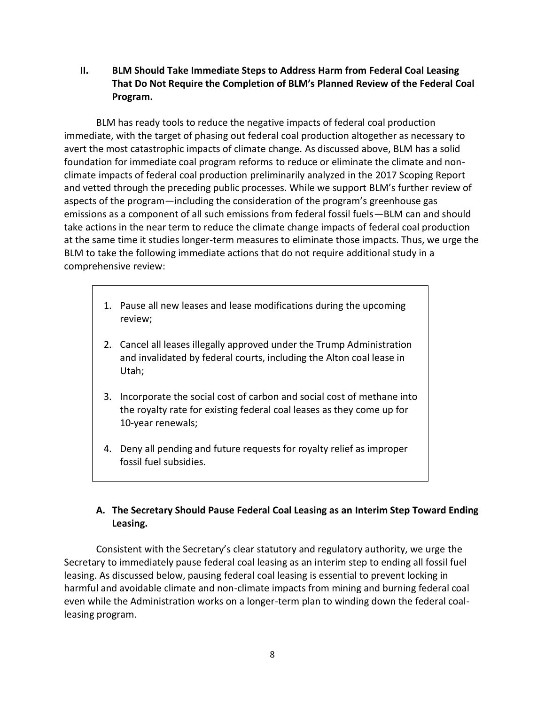**II. BLM Should Take Immediate Steps to Address Harm from Federal Coal Leasing That Do Not Require the Completion of BLM's Planned Review of the Federal Coal Program.**

 BLM has ready tools to reduce the negative impacts of federal coal production immediate, with the target of phasing out federal coal production altogether as necessary to avert the most catastrophic impacts of climate change. As discussed above, BLM has a solid foundation for immediate coal program reforms to reduce or eliminate the climate and nonclimate impacts of federal coal production preliminarily analyzed in the 2017 Scoping Report and vetted through the preceding public processes. While we support BLM's further review of aspects of the program—including the consideration of the program's greenhouse gas emissions as a component of all such emissions from federal fossil fuels—BLM can and should take actions in the near term to reduce the climate change impacts of federal coal production at the same time it studies longer-term measures to eliminate those impacts. Thus, we urge the BLM to take the following immediate actions that do not require additional study in a comprehensive review:

- 1. Pause all new leases and lease modifications during the upcoming review;
- 2. Cancel all leases illegally approved under the Trump Administration and invalidated by federal courts, including the Alton coal lease in Utah;
- 3. Incorporate the social cost of carbon and social cost of methane into the royalty rate for existing federal coal leases as they come up for 10-year renewals;
- 4. Deny all pending and future requests for royalty relief as improper fossil fuel subsidies.

# **A. The Secretary Should Pause Federal Coal Leasing as an Interim Step Toward Ending Leasing.**

Consistent with the Secretary's clear statutory and regulatory authority, we urge the Secretary to immediately pause federal coal leasing as an interim step to ending all fossil fuel leasing. As discussed below, pausing federal coal leasing is essential to prevent locking in harmful and avoidable climate and non-climate impacts from mining and burning federal coal even while the Administration works on a longer-term plan to winding down the federal coalleasing program.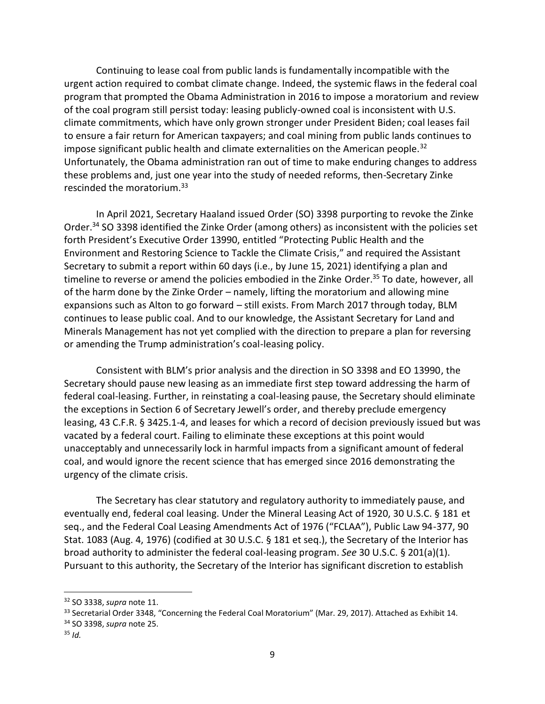Continuing to lease coal from public lands is fundamentally incompatible with the urgent action required to combat climate change. Indeed, the systemic flaws in the federal coal program that prompted the Obama Administration in 2016 to impose a moratorium and review of the coal program still persist today: leasing publicly-owned coal is inconsistent with U.S. climate commitments, which have only grown stronger under President Biden; coal leases fail to ensure a fair return for American taxpayers; and coal mining from public lands continues to impose significant public health and climate externalities on the American people.<sup>32</sup> Unfortunately, the Obama administration ran out of time to make enduring changes to address these problems and, just one year into the study of needed reforms, then-Secretary Zinke rescinded the moratorium.<sup>33</sup>

In April 2021, Secretary Haaland issued Order (SO) 3398 purporting to revoke the Zinke Order. <sup>34</sup> SO 3398 identified the Zinke Order (among others) as inconsistent with the policies set forth President's Executive Order 13990, entitled "Protecting Public Health and the Environment and Restoring Science to Tackle the Climate Crisis," and required the Assistant Secretary to submit a report within 60 days (i.e., by June 15, 2021) identifying a plan and timeline to reverse or amend the policies embodied in the Zinke Order.<sup>35</sup> To date, however, all of the harm done by the Zinke Order – namely, lifting the moratorium and allowing mine expansions such as Alton to go forward – still exists. From March 2017 through today, BLM continues to lease public coal. And to our knowledge, the Assistant Secretary for Land and Minerals Management has not yet complied with the direction to prepare a plan for reversing or amending the Trump administration's coal-leasing policy.

Consistent with BLM's prior analysis and the direction in SO 3398 and EO 13990, the Secretary should pause new leasing as an immediate first step toward addressing the harm of federal coal-leasing. Further, in reinstating a coal-leasing pause, the Secretary should eliminate the exceptions in Section 6 of Secretary Jewell's order, and thereby preclude emergency leasing, 43 C.F.R. § 3425.1-4, and leases for which a record of decision previously issued but was vacated by a federal court. Failing to eliminate these exceptions at this point would unacceptably and unnecessarily lock in harmful impacts from a significant amount of federal coal, and would ignore the recent science that has emerged since 2016 demonstrating the urgency of the climate crisis.

The Secretary has clear statutory and regulatory authority to immediately pause, and eventually end, federal coal leasing. Under the Mineral Leasing Act of 1920, 30 U.S.C. § 181 et seq., and the Federal Coal Leasing Amendments Act of 1976 ("FCLAA"), Public Law 94-377, 90 Stat. 1083 (Aug. 4, 1976) (codified at 30 U.S.C. § 181 et seq.), the Secretary of the Interior has broad authority to administer the federal coal-leasing program. *See* 30 U.S.C. § 201(a)(1). Pursuant to this authority, the Secretary of the Interior has significant discretion to establish

<sup>32</sup> SO 3338, *supra* note 11.

<sup>&</sup>lt;sup>33</sup> Secretarial Order 3348, "Concerning the Federal Coal Moratorium" (Mar. 29, 2017). Attached as Exhibit 14.

<sup>34</sup> SO 3398, *supra* note 25.

 $35$  *Id.*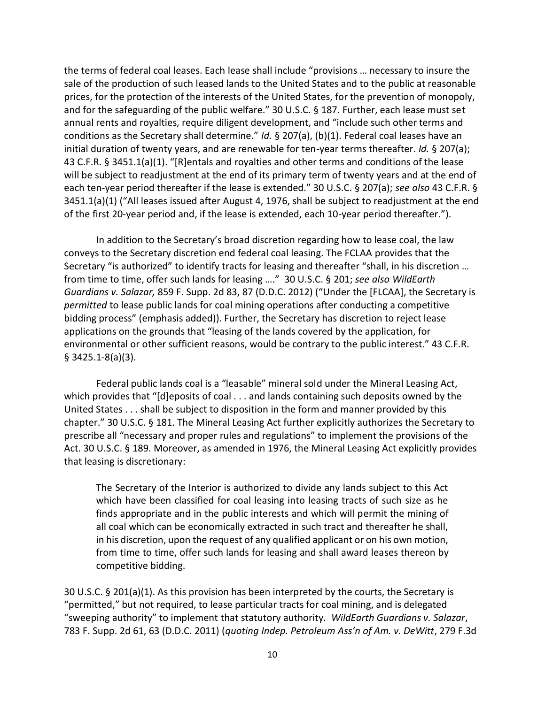the terms of federal coal leases. Each lease shall include "provisions … necessary to insure the sale of the production of such leased lands to the United States and to the public at reasonable prices, for the protection of the interests of the United States, for the prevention of monopoly, and for the safeguarding of the public welfare." 30 U.S.C. § 187. Further, each lease must set annual rents and royalties, require diligent development, and "include such other terms and conditions as the Secretary shall determine." *Id.* § 207(a), (b)(1). Federal coal leases have an initial duration of twenty years, and are renewable for ten-year terms thereafter. *Id.* § 207(a); 43 C.F.R. § 3451.1(a)(1). "[R]entals and royalties and other terms and conditions of the lease will be subject to readjustment at the end of its primary term of twenty years and at the end of each ten-year period thereafter if the lease is extended." 30 U.S.C. § 207(a); *see also* 43 C.F.R. § 3451.1(a)(1) ("All leases issued after August 4, 1976, shall be subject to readjustment at the end of the first 20-year period and, if the lease is extended, each 10-year period thereafter.").

In addition to the Secretary's broad discretion regarding how to lease coal, the law conveys to the Secretary discretion end federal coal leasing. The FCLAA provides that the Secretary "is authorized" to identify tracts for leasing and thereafter "shall, in his discretion … from time to time, offer such lands for leasing …." 30 U.S.C. § 201; *see also WildEarth Guardians v. Salazar,* 859 F. Supp. 2d 83, 87 (D.D.C. 2012) ("Under the [FLCAA], the Secretary is *permitted* to lease public lands for coal mining operations after conducting a competitive bidding process" (emphasis added)). Further, the Secretary has discretion to reject lease applications on the grounds that "leasing of the lands covered by the application, for environmental or other sufficient reasons, would be contrary to the public interest." 43 C.F.R. § 3425.1-8(a)(3).

Federal public lands coal is a "leasable" mineral sold under the Mineral Leasing Act, which provides that "[d]eposits of coal . . . and lands containing such deposits owned by the United States . . . shall be subject to disposition in the form and manner provided by this chapter." 30 U.S.C. § 181. The Mineral Leasing Act further explicitly authorizes the Secretary to prescribe all "necessary and proper rules and regulations" to implement the provisions of the Act. 30 U.S.C. § 189. Moreover, as amended in 1976, the Mineral Leasing Act explicitly provides that leasing is discretionary:

The Secretary of the Interior is authorized to divide any lands subject to this Act which have been classified for coal leasing into leasing tracts of such size as he finds appropriate and in the public interests and which will permit the mining of all coal which can be economically extracted in such tract and thereafter he shall, in his discretion, upon the request of any qualified applicant or on his own motion, from time to time, offer such lands for leasing and shall award leases thereon by competitive bidding.

30 U.S.C. § 201(a)(1). As this provision has been interpreted by the courts, the Secretary is "permitted," but not required, to lease particular tracts for coal mining, and is delegated "sweeping authority" to implement that statutory authority. *WildEarth Guardians v. Salazar*, 783 F. Supp. 2d 61, 63 (D.D.C. 2011) (*quoting Indep. Petroleum Ass'n of Am. v. DeWitt*, 279 F.3d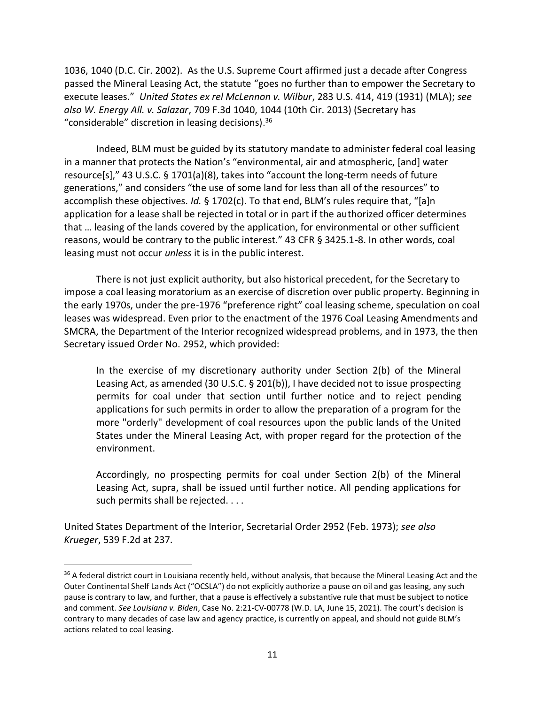1036, 1040 (D.C. Cir. 2002). As the U.S. Supreme Court affirmed just a decade after Congress passed the Mineral Leasing Act, the statute "goes no further than to empower the Secretary to execute leases." *United States ex rel McLennon v. Wilbur*, 283 U.S. 414, 419 (1931) (MLA); *see also W. Energy All. v. Salazar*, 709 F.3d 1040, 1044 (10th Cir. 2013) (Secretary has "considerable" discretion in leasing decisions). 36

Indeed, BLM must be guided by its statutory mandate to administer federal coal leasing in a manner that protects the Nation's "environmental, air and atmospheric, [and] water resource[s]," 43 U.S.C. § 1701(a)(8), takes into "account the long-term needs of future generations," and considers "the use of some land for less than all of the resources" to accomplish these objectives. *Id.* § 1702(c). To that end, BLM's rules require that, "[a]n application for a lease shall be rejected in total or in part if the authorized officer determines that … leasing of the lands covered by the application, for environmental or other sufficient reasons, would be contrary to the public interest." 43 CFR § 3425.1-8. In other words, coal leasing must not occur *unless* it is in the public interest.

There is not just explicit authority, but also historical precedent, for the Secretary to impose a coal leasing moratorium as an exercise of discretion over public property. Beginning in the early 1970s, under the pre-1976 "preference right" coal leasing scheme, speculation on coal leases was widespread. Even prior to the enactment of the 1976 Coal Leasing Amendments and SMCRA, the Department of the Interior recognized widespread problems, and in 1973, the then Secretary issued Order No. 2952, which provided:

In the exercise of my discretionary authority under Section 2(b) of the Mineral Leasing Act, as amended (30 U.S.C. § 201(b)), I have decided not to issue prospecting permits for coal under that section until further notice and to reject pending applications for such permits in order to allow the preparation of a program for the more "orderly" development of coal resources upon the public lands of the United States under the Mineral Leasing Act, with proper regard for the protection of the environment.

Accordingly, no prospecting permits for coal under Section 2(b) of the Mineral Leasing Act, supra, shall be issued until further notice. All pending applications for such permits shall be rejected. . . .

United States Department of the Interior, Secretarial Order 2952 (Feb. 1973); *see also Krueger*, 539 F.2d at 237.

<sup>&</sup>lt;sup>36</sup> A federal district court in Louisiana recently held, without analysis, that because the Mineral Leasing Act and the Outer Continental Shelf Lands Act ("OCSLA") do not explicitly authorize a pause on oil and gas leasing, any such pause is contrary to law, and further, that a pause is effectively a substantive rule that must be subject to notice and comment. *See Louisiana v. Biden*, Case No. 2:21-CV-00778 (W.D. LA, June 15, 2021). The court's decision is contrary to many decades of case law and agency practice, is currently on appeal, and should not guide BLM's actions related to coal leasing.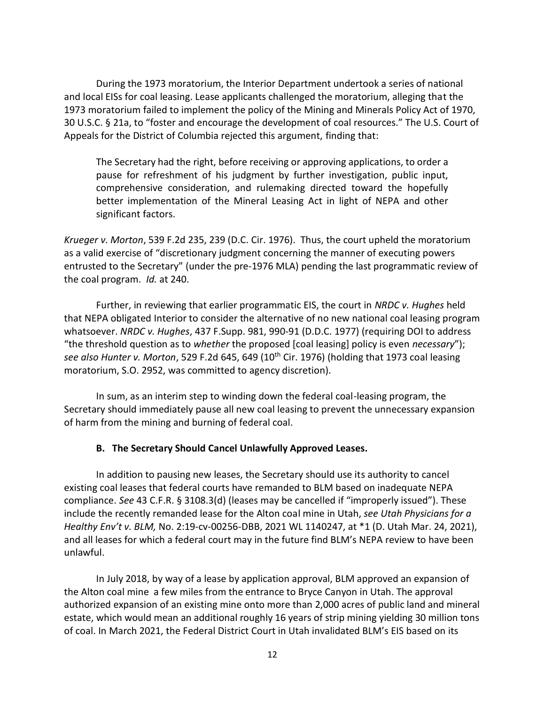During the 1973 moratorium, the Interior Department undertook a series of national and local EISs for coal leasing. Lease applicants challenged the moratorium, alleging that the 1973 moratorium failed to implement the policy of the Mining and Minerals Policy Act of 1970, 30 U.S.C. § 21a, to "foster and encourage the development of coal resources." The U.S. Court of Appeals for the District of Columbia rejected this argument, finding that:

The Secretary had the right, before receiving or approving applications, to order a pause for refreshment of his judgment by further investigation, public input, comprehensive consideration, and rulemaking directed toward the hopefully better implementation of the Mineral Leasing Act in light of NEPA and other significant factors.

*Krueger v. Morton*, 539 F.2d 235, 239 (D.C. Cir. 1976). Thus, the court upheld the moratorium as a valid exercise of "discretionary judgment concerning the manner of executing powers entrusted to the Secretary" (under the pre-1976 MLA) pending the last programmatic review of the coal program. *Id.* at 240.

Further, in reviewing that earlier programmatic EIS, the court in *NRDC v. Hughes* held that NEPA obligated Interior to consider the alternative of no new national coal leasing program whatsoever. *NRDC v. Hughes*, 437 F.Supp. 981, 990-91 (D.D.C. 1977) (requiring DOI to address "the threshold question as to *whether* the proposed [coal leasing] policy is even *necessary*"); *see also Hunter v. Morton*, 529 F.2d 645, 649 (10th Cir. 1976) (holding that 1973 coal leasing moratorium, S.O. 2952, was committed to agency discretion).

In sum, as an interim step to winding down the federal coal-leasing program, the Secretary should immediately pause all new coal leasing to prevent the unnecessary expansion of harm from the mining and burning of federal coal.

#### **B. The Secretary Should Cancel Unlawfully Approved Leases.**

In addition to pausing new leases, the Secretary should use its authority to cancel existing coal leases that federal courts have remanded to BLM based on inadequate NEPA compliance. *See* 43 C.F.R. § 3108.3(d) (leases may be cancelled if "improperly issued"). These include the recently remanded lease for the Alton coal mine in Utah, *see Utah Physicians for a Healthy Env't v. BLM,* No. 2:19-cv-00256-DBB, 2021 WL 1140247, at \*1 (D. Utah Mar. 24, 2021), and all leases for which a federal court may in the future find BLM's NEPA review to have been unlawful.

In July 2018, by way of a lease by application approval, BLM approved an expansion of the Alton coal mine a few miles from the entrance to Bryce Canyon in Utah. The approval authorized expansion of an existing mine onto more than 2,000 acres of public land and mineral estate, which would mean an additional roughly 16 years of strip mining yielding 30 million tons of coal. In March 2021, the Federal District Court in Utah invalidated BLM's EIS based on its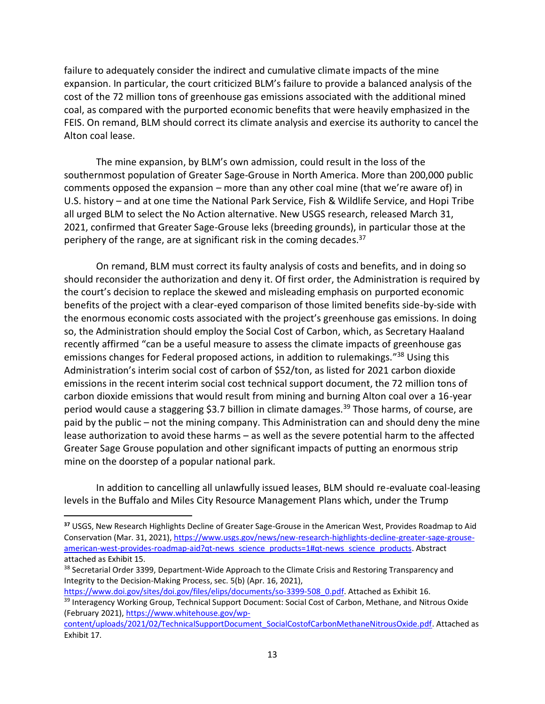failure to adequately consider the indirect and cumulative climate impacts of the mine expansion. In particular, the court criticized BLM's failure to provide a balanced analysis of the cost of the 72 million tons of greenhouse gas emissions associated with the additional mined coal, as compared with the purported economic benefits that were heavily emphasized in the FEIS. On remand, BLM should correct its climate analysis and exercise its authority to cancel the Alton coal lease.

The mine expansion, by BLM's own admission, could result in the loss of the southernmost population of Greater Sage-Grouse in North America. More than 200,000 public comments opposed the expansion – more than any other coal mine (that we're aware of) in U.S. history – and at one time the National Park Service, Fish & Wildlife Service, and Hopi Tribe all urged BLM to select the No Action alternative. New USGS research, released March 31, 2021, confirmed that Greater Sage-Grouse leks (breeding grounds), in particular those at the periphery of the range, are at significant risk in the coming decades.<sup>37</sup>

On remand, BLM must correct its faulty analysis of costs and benefits, and in doing so should reconsider the authorization and deny it. Of first order, the Administration is required by the court's decision to replace the skewed and misleading emphasis on purported economic benefits of the project with a clear-eyed comparison of those limited benefits side-by-side with the enormous economic costs associated with the project's greenhouse gas emissions. In doing so, the Administration should employ the Social Cost of Carbon, which, as Secretary Haaland recently affirmed "can be a useful measure to assess the climate impacts of greenhouse gas emissions changes for Federal proposed actions, in addition to rulemakings."<sup>38</sup> Using this Administration's interim social cost of carbon of \$52/ton, as listed for 2021 carbon dioxide emissions in the recent interim social cost technical support document, the 72 million tons of carbon dioxide emissions that would result from mining and burning Alton coal over a 16-year period would cause a staggering \$3.7 billion in climate damages.<sup>39</sup> Those harms, of course, are paid by the public – not the mining company. This Administration can and should deny the mine lease authorization to avoid these harms – as well as the severe potential harm to the affected Greater Sage Grouse population and other significant impacts of putting an enormous strip mine on the doorstep of a popular national park.

In addition to cancelling all unlawfully issued leases, BLM should re-evaluate coal-leasing levels in the Buffalo and Miles City Resource Management Plans which, under the Trump

[https://www.doi.gov/sites/doi.gov/files/elips/documents/so-3399-508\\_0.pdf.](https://www.doi.gov/sites/doi.gov/files/elips/documents/so-3399-508_0.pdf) Attached as Exhibit 16.

**<sup>37</sup>** USGS, New Research Highlights Decline of Greater Sage-Grouse in the American West, Provides Roadmap to Aid Conservation (Mar. 31, 2021)[, https://www.usgs.gov/news/new-research-highlights-decline-greater-sage-grouse](https://www.usgs.gov/news/new-research-highlights-decline-greater-sage-grouse-american-west-provides-roadmap-aid?qt-news_science_products=1#qt-news_science_products)[american-west-provides-roadmap-aid?qt-news\\_science\\_products=1#qt-news\\_science\\_products.](https://www.usgs.gov/news/new-research-highlights-decline-greater-sage-grouse-american-west-provides-roadmap-aid?qt-news_science_products=1#qt-news_science_products) Abstract attached as Exhibit 15.

<sup>&</sup>lt;sup>38</sup> Secretarial Order 3399, Department-Wide Approach to the Climate Crisis and Restoring Transparency and Integrity to the Decision-Making Process, sec. 5(b) (Apr. 16, 2021),

<sup>&</sup>lt;sup>39</sup> Interagency Working Group, Technical Support Document: Social Cost of Carbon, Methane, and Nitrous Oxide (February 2021)[, https://www.whitehouse.gov/wp-](https://www.whitehouse.gov/wp-content/uploads/2021/02/TechnicalSupportDocument_SocialCostofCarbonMethaneNitrousOxide.pdf)

[content/uploads/2021/02/TechnicalSupportDocument\\_SocialCostofCarbonMethaneNitrousOxide.pdf.](https://www.whitehouse.gov/wp-content/uploads/2021/02/TechnicalSupportDocument_SocialCostofCarbonMethaneNitrousOxide.pdf) Attached as Exhibit 17.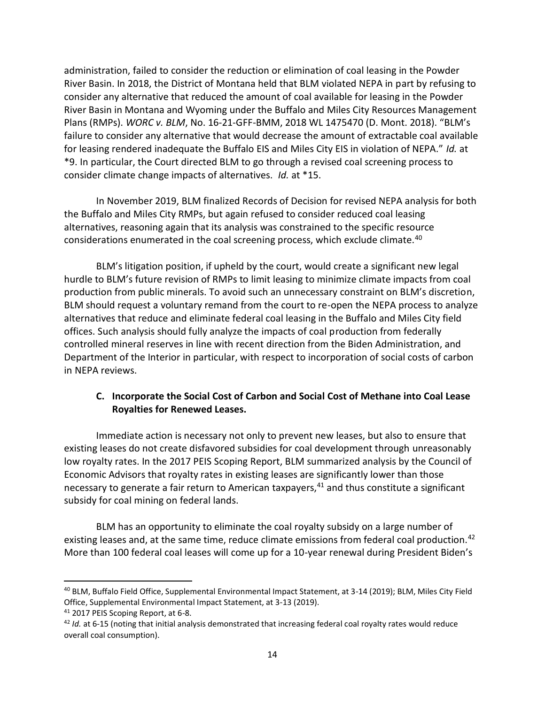administration, failed to consider the reduction or elimination of coal leasing in the Powder River Basin. In 2018, the District of Montana held that BLM violated NEPA in part by refusing to consider any alternative that reduced the amount of coal available for leasing in the Powder River Basin in Montana and Wyoming under the Buffalo and Miles City Resources Management Plans (RMPs). *WORC v. BLM*, No. 16-21-GFF-BMM, 2018 WL 1475470 (D. Mont. 2018). "BLM's failure to consider any alternative that would decrease the amount of extractable coal available for leasing rendered inadequate the Buffalo EIS and Miles City EIS in violation of NEPA." *Id.* at \*9. In particular, the Court directed BLM to go through a revised coal screening process to consider climate change impacts of alternatives. *Id.* at \*15.

In November 2019, BLM finalized Records of Decision for revised NEPA analysis for both the Buffalo and Miles City RMPs, but again refused to consider reduced coal leasing alternatives, reasoning again that its analysis was constrained to the specific resource considerations enumerated in the coal screening process, which exclude climate.<sup>40</sup>

BLM's litigation position, if upheld by the court, would create a significant new legal hurdle to BLM's future revision of RMPs to limit leasing to minimize climate impacts from coal production from public minerals. To avoid such an unnecessary constraint on BLM's discretion, BLM should request a voluntary remand from the court to re-open the NEPA process to analyze alternatives that reduce and eliminate federal coal leasing in the Buffalo and Miles City field offices. Such analysis should fully analyze the impacts of coal production from federally controlled mineral reserves in line with recent direction from the Biden Administration, and Department of the Interior in particular, with respect to incorporation of social costs of carbon in NEPA reviews.

### **C. Incorporate the Social Cost of Carbon and Social Cost of Methane into Coal Lease Royalties for Renewed Leases.**

Immediate action is necessary not only to prevent new leases, but also to ensure that existing leases do not create disfavored subsidies for coal development through unreasonably low royalty rates. In the 2017 PEIS Scoping Report, BLM summarized analysis by the Council of Economic Advisors that royalty rates in existing leases are significantly lower than those necessary to generate a fair return to American taxpayers,  $41$  and thus constitute a significant subsidy for coal mining on federal lands.

BLM has an opportunity to eliminate the coal royalty subsidy on a large number of existing leases and, at the same time, reduce climate emissions from federal coal production.<sup>42</sup> More than 100 federal coal leases will come up for a 10-year renewal during President Biden's

<sup>40</sup> BLM, Buffalo Field Office, Supplemental Environmental Impact Statement, at 3-14 (2019); BLM, Miles City Field Office, Supplemental Environmental Impact Statement, at 3-13 (2019).

<sup>41</sup> 2017 PEIS Scoping Report, at 6-8.

<sup>&</sup>lt;sup>42</sup> *Id.* at 6-15 (noting that initial analysis demonstrated that increasing federal coal royalty rates would reduce overall coal consumption).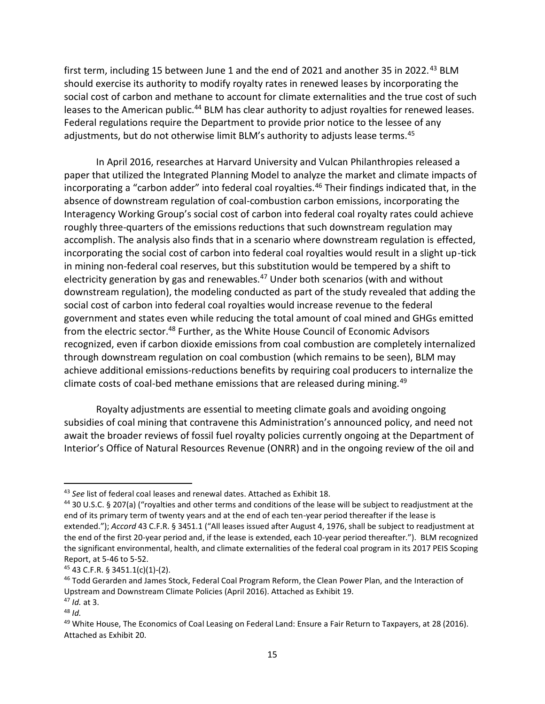first term, including 15 between June 1 and the end of 2021 and another 35 in 2022.<sup>43</sup> BLM should exercise its authority to modify royalty rates in renewed leases by incorporating the social cost of carbon and methane to account for climate externalities and the true cost of such leases to the American public.<sup>44</sup> BLM has clear authority to adjust royalties for renewed leases. Federal regulations require the Department to provide prior notice to the lessee of any adjustments, but do not otherwise limit BLM's authority to adjusts lease terms.<sup>45</sup>

In April 2016, researches at Harvard University and Vulcan Philanthropies released a paper that utilized the Integrated Planning Model to analyze the market and climate impacts of incorporating a "carbon adder" into federal coal royalties.<sup>46</sup> Their findings indicated that, in the absence of downstream regulation of coal-combustion carbon emissions, incorporating the Interagency Working Group's social cost of carbon into federal coal royalty rates could achieve roughly three-quarters of the emissions reductions that such downstream regulation may accomplish. The analysis also finds that in a scenario where downstream regulation is effected, incorporating the social cost of carbon into federal coal royalties would result in a slight up-tick in mining non-federal coal reserves, but this substitution would be tempered by a shift to electricity generation by gas and renewables.<sup>47</sup> Under both scenarios (with and without downstream regulation), the modeling conducted as part of the study revealed that adding the social cost of carbon into federal coal royalties would increase revenue to the federal government and states even while reducing the total amount of coal mined and GHGs emitted from the electric sector.<sup>48</sup> Further, as the White House Council of Economic Advisors recognized, even if carbon dioxide emissions from coal combustion are completely internalized through downstream regulation on coal combustion (which remains to be seen), BLM may achieve additional emissions-reductions benefits by requiring coal producers to internalize the climate costs of coal-bed methane emissions that are released during mining.<sup>49</sup>

Royalty adjustments are essential to meeting climate goals and avoiding ongoing subsidies of coal mining that contravene this Administration's announced policy, and need not await the broader reviews of fossil fuel royalty policies currently ongoing at the Department of Interior's Office of Natural Resources Revenue (ONRR) and in the ongoing review of the oil and

<sup>43</sup> *See* list of federal coal leases and renewal dates. Attached as Exhibit 18.

<sup>44</sup> 30 U.S.C. § 207(a) ("royalties and other terms and conditions of the lease will be subject to readjustment at the end of its primary term of twenty years and at the end of each ten-year period thereafter if the lease is extended."); *Accord* 43 C.F.R. § 3451.1 ("All leases issued after August 4, 1976, shall be subject to readjustment at the end of the first 20-year period and, if the lease is extended, each 10-year period thereafter."). BLM recognized the significant environmental, health, and climate externalities of the federal coal program in its 2017 PEIS Scoping Report, at 5-46 to 5-52.

<sup>45</sup> 43 C.F.R. § 3451.1(c)(1)-(2).

<sup>&</sup>lt;sup>46</sup> Todd Gerarden and James Stock, Federal Coal Program Reform, the Clean Power Plan, and the Interaction of Upstream and Downstream Climate Policies (April 2016). Attached as Exhibit 19.

<sup>47</sup> *Id.* at 3.

<sup>48</sup> *Id.*

<sup>&</sup>lt;sup>49</sup> White House, The Economics of Coal Leasing on Federal Land: Ensure a Fair Return to Taxpayers, at 28 (2016). Attached as Exhibit 20.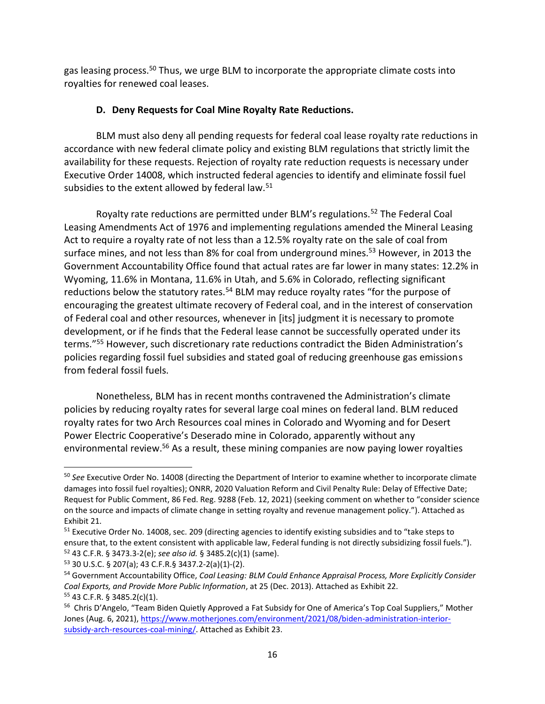gas leasing process.<sup>50</sup> Thus, we urge BLM to incorporate the appropriate climate costs into royalties for renewed coal leases.

## **D. Deny Requests for Coal Mine Royalty Rate Reductions.**

BLM must also deny all pending requests for federal coal lease royalty rate reductions in accordance with new federal climate policy and existing BLM regulations that strictly limit the availability for these requests. Rejection of royalty rate reduction requests is necessary under Executive Order 14008, which instructed federal agencies to identify and eliminate fossil fuel subsidies to the extent allowed by federal law. $51$ 

Royalty rate reductions are permitted under BLM's regulations.<sup>52</sup> The Federal Coal Leasing Amendments Act of 1976 and implementing regulations amended the Mineral Leasing Act to require a royalty rate of not less than a 12.5% royalty rate on the sale of coal from surface mines, and not less than 8% for coal from underground mines.<sup>53</sup> However, in 2013 the Government Accountability Office found that actual rates are far lower in many states: 12.2% in Wyoming, 11.6% in Montana, 11.6% in Utah, and 5.6% in Colorado, reflecting significant reductions below the statutory rates.<sup>54</sup> BLM may reduce royalty rates "for the purpose of encouraging the greatest ultimate recovery of Federal coal, and in the interest of conservation of Federal coal and other resources, whenever in [its] judgment it is necessary to promote development, or if he finds that the Federal lease cannot be successfully operated under its terms."<sup>55</sup> However, such discretionary rate reductions contradict the Biden Administration's policies regarding fossil fuel subsidies and stated goal of reducing greenhouse gas emissions from federal fossil fuels.

Nonetheless, BLM has in recent months contravened the Administration's climate policies by reducing royalty rates for several large coal mines on federal land. BLM reduced royalty rates for two Arch Resources coal mines in Colorado and Wyoming and for Desert Power Electric Cooperative's Deserado mine in Colorado, apparently without any environmental review.<sup>56</sup> As a result, these mining companies are now paying lower royalties

<sup>53</sup> 30 U.S.C. § 207(a); 43 C.F.R.§ 3437.2-2(a)(1)-(2).

<sup>50</sup> *See* Executive Order No. 14008 (directing the Department of Interior to examine whether to incorporate climate damages into fossil fuel royalties); ONRR, 2020 Valuation Reform and Civil Penalty Rule: Delay of Effective Date; Request for Public Comment, 86 Fed. Reg. 9288 (Feb. 12, 2021) (seeking comment on whether to "consider science on the source and impacts of climate change in setting royalty and revenue management policy."). Attached as Exhibit 21.

<sup>&</sup>lt;sup>51</sup> Executive Order No. 14008, sec. 209 (directing agencies to identify existing subsidies and to "take steps to ensure that, to the extent consistent with applicable law, Federal funding is not directly subsidizing fossil fuels."). <sup>52</sup> 43 C.F.R. § 3473.3-2(e); *see also id.* § 3485.2(c)(1) (same).

<sup>54</sup> Government Accountability Office, *Coal Leasing: BLM Could Enhance Appraisal Process, More Explicitly Consider Coal Exports, and Provide More Public Information*, at 25 (Dec. 2013). Attached as Exhibit 22. <sup>55</sup> 43 C.F.R. § 3485.2(c)(1).

<sup>&</sup>lt;sup>56</sup> Chris D'Angelo, "Team Biden Quietly Approved a Fat Subsidy for One of America's Top Coal Suppliers," Mother Jones (Aug. 6, 2021), [https://www.motherjones.com/environment/2021/08/biden-administration-interior](https://www.motherjones.com/environment/2021/08/biden-administration-interior-subsidy-arch-resources-coal-mining/)[subsidy-arch-resources-coal-mining/.](https://www.motherjones.com/environment/2021/08/biden-administration-interior-subsidy-arch-resources-coal-mining/) Attached as Exhibit 23.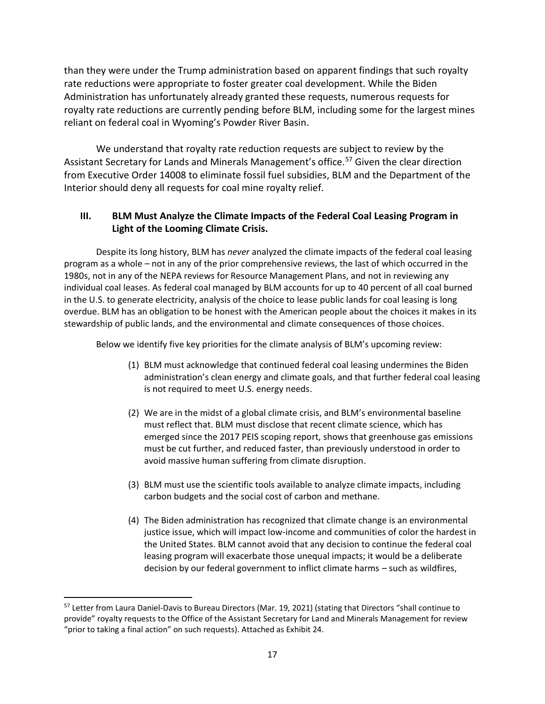than they were under the Trump administration based on apparent findings that such royalty rate reductions were appropriate to foster greater coal development. While the Biden Administration has unfortunately already granted these requests, numerous requests for royalty rate reductions are currently pending before BLM, including some for the largest mines reliant on federal coal in Wyoming's Powder River Basin.

We understand that royalty rate reduction requests are subject to review by the Assistant Secretary for Lands and Minerals Management's office.<sup>57</sup> Given the clear direction from Executive Order 14008 to eliminate fossil fuel subsidies, BLM and the Department of the Interior should deny all requests for coal mine royalty relief.

## **III. BLM Must Analyze the Climate Impacts of the Federal Coal Leasing Program in Light of the Looming Climate Crisis.**

Despite its long history, BLM has *never* analyzed the climate impacts of the federal coal leasing program as a whole – not in any of the prior comprehensive reviews, the last of which occurred in the 1980s, not in any of the NEPA reviews for Resource Management Plans, and not in reviewing any individual coal leases. As federal coal managed by BLM accounts for up to 40 percent of all coal burned in the U.S. to generate electricity, analysis of the choice to lease public lands for coal leasing is long overdue. BLM has an obligation to be honest with the American people about the choices it makes in its stewardship of public lands, and the environmental and climate consequences of those choices.

Below we identify five key priorities for the climate analysis of BLM's upcoming review:

- (1) BLM must acknowledge that continued federal coal leasing undermines the Biden administration's clean energy and climate goals, and that further federal coal leasing is not required to meet U.S. energy needs.
- (2) We are in the midst of a global climate crisis, and BLM's environmental baseline must reflect that. BLM must disclose that recent climate science, which has emerged since the 2017 PEIS scoping report, shows that greenhouse gas emissions must be cut further, and reduced faster, than previously understood in order to avoid massive human suffering from climate disruption.
- (3) BLM must use the scientific tools available to analyze climate impacts, including carbon budgets and the social cost of carbon and methane.
- (4) The Biden administration has recognized that climate change is an environmental justice issue, which will impact low-income and communities of color the hardest in the United States. BLM cannot avoid that any decision to continue the federal coal leasing program will exacerbate those unequal impacts; it would be a deliberate decision by our federal government to inflict climate harms – such as wildfires,

<sup>57</sup> Letter from Laura Daniel-Davis to Bureau Directors (Mar. 19, 2021) (stating that Directors "shall continue to provide" royalty requests to the Office of the Assistant Secretary for Land and Minerals Management for review "prior to taking a final action" on such requests). Attached as Exhibit 24.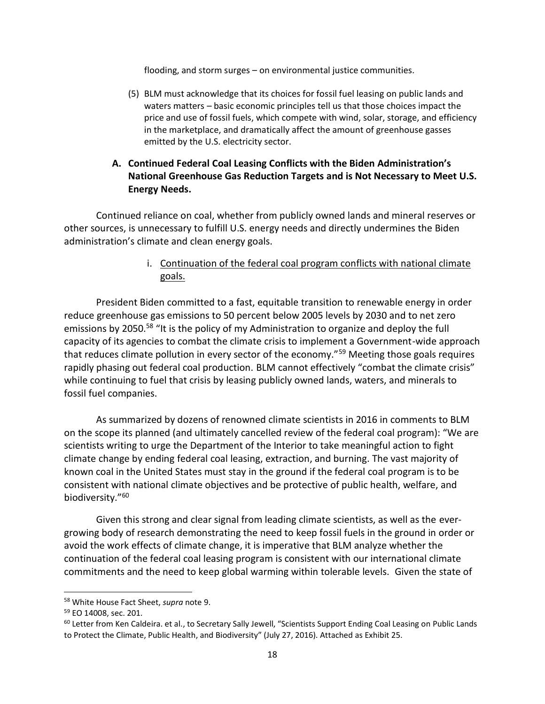flooding, and storm surges – on environmental justice communities.

(5) BLM must acknowledge that its choices for fossil fuel leasing on public lands and waters matters – basic economic principles tell us that those choices impact the price and use of fossil fuels, which compete with wind, solar, storage, and efficiency in the marketplace, and dramatically affect the amount of greenhouse gasses emitted by the U.S. electricity sector.

# **A. Continued Federal Coal Leasing Conflicts with the Biden Administration's National Greenhouse Gas Reduction Targets and is Not Necessary to Meet U.S. Energy Needs.**

Continued reliance on coal, whether from publicly owned lands and mineral reserves or other sources, is unnecessary to fulfill U.S. energy needs and directly undermines the Biden administration's climate and clean energy goals.

# i. Continuation of the federal coal program conflicts with national climate goals.

President Biden committed to a fast, equitable transition to renewable energy in order reduce greenhouse gas emissions to 50 percent below 2005 levels by 2030 and to net zero emissions by 2050.<sup>58</sup> "It is the policy of my Administration to organize and deploy the full capacity of its agencies to combat the climate crisis to implement a Government-wide approach that reduces climate pollution in every sector of the economy."<sup>59</sup> Meeting those goals requires rapidly phasing out federal coal production. BLM cannot effectively "combat the climate crisis" while continuing to fuel that crisis by leasing publicly owned lands, waters, and minerals to fossil fuel companies.

As summarized by dozens of renowned climate scientists in 2016 in comments to BLM on the scope its planned (and ultimately cancelled review of the federal coal program): "We are scientists writing to urge the Department of the Interior to take meaningful action to fight climate change by ending federal coal leasing, extraction, and burning. The vast majority of known coal in the United States must stay in the ground if the federal coal program is to be consistent with national climate objectives and be protective of public health, welfare, and biodiversity."<sup>60</sup>

Given this strong and clear signal from leading climate scientists, as well as the evergrowing body of research demonstrating the need to keep fossil fuels in the ground in order or avoid the work effects of climate change, it is imperative that BLM analyze whether the continuation of the federal coal leasing program is consistent with our international climate commitments and the need to keep global warming within tolerable levels. Given the state of

<sup>58</sup> White House Fact Sheet, *supra* note 9.

<sup>59</sup> EO 14008, sec. 201.

 $60$  Letter from Ken Caldeira. et al., to Secretary Sally Jewell, "Scientists Support Ending Coal Leasing on Public Lands to Protect the Climate, Public Health, and Biodiversity" (July 27, 2016). Attached as Exhibit 25.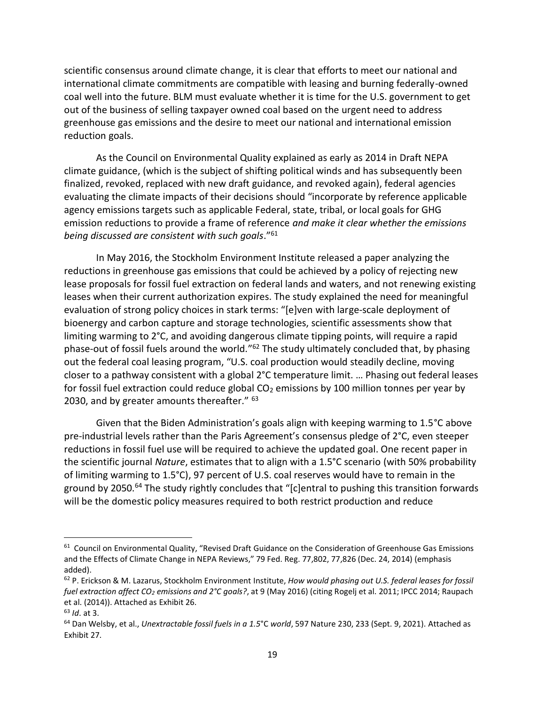scientific consensus around climate change, it is clear that efforts to meet our national and international climate commitments are compatible with leasing and burning federally-owned coal well into the future. BLM must evaluate whether it is time for the U.S. government to get out of the business of selling taxpayer owned coal based on the urgent need to address greenhouse gas emissions and the desire to meet our national and international emission reduction goals.

As the Council on Environmental Quality explained as early as 2014 in Draft NEPA climate guidance, (which is the subject of shifting political winds and has subsequently been finalized, revoked, replaced with new draft guidance, and revoked again), federal agencies evaluating the climate impacts of their decisions should "incorporate by reference applicable agency emissions targets such as applicable Federal, state, tribal, or local goals for GHG emission reductions to provide a frame of reference *and make it clear whether the emissions being discussed are consistent with such goals*."<sup>61</sup>

In May 2016, the Stockholm Environment Institute released a paper analyzing the reductions in greenhouse gas emissions that could be achieved by a policy of rejecting new lease proposals for fossil fuel extraction on federal lands and waters, and not renewing existing leases when their current authorization expires. The study explained the need for meaningful evaluation of strong policy choices in stark terms: "[e]ven with large-scale deployment of bioenergy and carbon capture and storage technologies, scientific assessments show that limiting warming to 2°C, and avoiding dangerous climate tipping points, will require a rapid phase-out of fossil fuels around the world."<sup>62</sup> The study ultimately concluded that, by phasing out the federal coal leasing program, "U.S. coal production would steadily decline, moving closer to a pathway consistent with a global 2°C temperature limit. … Phasing out federal leases for fossil fuel extraction could reduce global  $CO<sub>2</sub>$  emissions by 100 million tonnes per year by 2030, and by greater amounts thereafter."  $63$ 

Given that the Biden Administration's goals align with keeping warming to 1.5°C above pre-industrial levels rather than the Paris Agreement's consensus pledge of 2°C, even steeper reductions in fossil fuel use will be required to achieve the updated goal. One recent paper in the scientific journal *Nature*, estimates that to align with a 1.5°C scenario (with 50% probability of limiting warming to 1.5°C), 97 percent of U.S. coal reserves would have to remain in the ground by 2050.<sup>64</sup> The study rightly concludes that "[c]entral to pushing this transition forwards will be the domestic policy measures required to both restrict production and reduce

<sup>&</sup>lt;sup>61</sup> Council on Environmental Quality, "Revised Draft Guidance on the Consideration of Greenhouse Gas Emissions and the Effects of Climate Change in NEPA Reviews," 79 Fed. Reg. 77,802, 77,826 (Dec. 24, 2014) (emphasis added).

<sup>62</sup> P. Erickson & M. Lazarus, Stockholm Environment Institute, *How would phasing out U.S. federal leases for fossil fuel extraction affect CO<sup>2</sup> emissions and 2°C goals?*, at 9 (May 2016) (citing Rogelj et al. 2011; IPCC 2014; Raupach et al. (2014)). Attached as Exhibit 26.

<sup>63</sup> *Id*. at 3.

<sup>64</sup> Dan Welsby, et al., *Unextractable fossil fuels in a 1.5*°C *world*, 597 Nature 230, 233 (Sept. 9, 2021). Attached as Exhibit 27.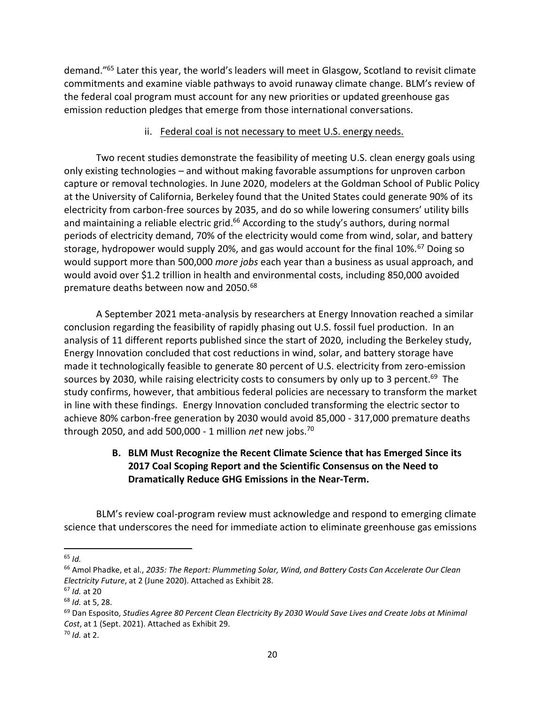demand."<sup>65</sup> Later this year, the world's leaders will meet in Glasgow, Scotland to revisit climate commitments and examine viable pathways to avoid runaway climate change. BLM's review of the federal coal program must account for any new priorities or updated greenhouse gas emission reduction pledges that emerge from those international conversations.

### ii. Federal coal is not necessary to meet U.S. energy needs.

Two recent studies demonstrate the feasibility of meeting U.S. clean energy goals using only existing technologies – and without making favorable assumptions for unproven carbon capture or removal technologies. In June 2020, modelers at the Goldman School of Public Policy at the University of California, Berkeley found that the United States could generate 90% of its electricity from carbon-free sources by 2035, and do so while lowering consumers' utility bills and maintaining a reliable electric grid. $66$  According to the study's authors, during normal periods of electricity demand, 70% of the electricity would come from wind, solar, and battery storage, hydropower would supply 20%, and gas would account for the final 10%.<sup>67</sup> Doing so would support more than 500,000 *more jobs* each year than a business as usual approach, and would avoid over \$1.2 trillion in health and environmental costs, including 850,000 avoided premature deaths between now and 2050.<sup>68</sup>

A September 2021 meta-analysis by researchers at Energy Innovation reached a similar conclusion regarding the feasibility of rapidly phasing out U.S. fossil fuel production. In an analysis of 11 different reports published since the start of 2020, including the Berkeley study, Energy Innovation concluded that cost reductions in wind, solar, and battery storage have made it technologically feasible to generate 80 percent of U.S. electricity from zero-emission sources by 2030, while raising electricity costs to consumers by only up to 3 percent.<sup>69</sup> The study confirms, however, that ambitious federal policies are necessary to transform the market in line with these findings. Energy Innovation concluded transforming the electric sector to achieve 80% carbon-free generation by 2030 would avoid 85,000 - 317,000 premature deaths through 2050, and add 500,000 - 1 million *net* new jobs.<sup>70</sup>

# **B. BLM Must Recognize the Recent Climate Science that has Emerged Since its 2017 Coal Scoping Report and the Scientific Consensus on the Need to Dramatically Reduce GHG Emissions in the Near-Term.**

BLM's review coal-program review must acknowledge and respond to emerging climate science that underscores the need for immediate action to eliminate greenhouse gas emissions

 $\overline{a}$ <sup>65</sup> *Id.*

<sup>66</sup> Amol Phadke, et al., *2035: The Report: Plummeting Solar, Wind, and Battery Costs Can Accelerate Our Clean Electricity Future*, at 2 (June 2020). Attached as Exhibit 28.

<sup>67</sup> *Id.* at 20

<sup>68</sup> *Id.* at 5, 28.

<sup>69</sup> Dan Esposito, *Studies Agree 80 Percent Clean Electricity By 2030 Would Save Lives and Create Jobs at Minimal Cost*, at 1 (Sept. 2021). Attached as Exhibit 29.

<sup>70</sup> *Id.* at 2.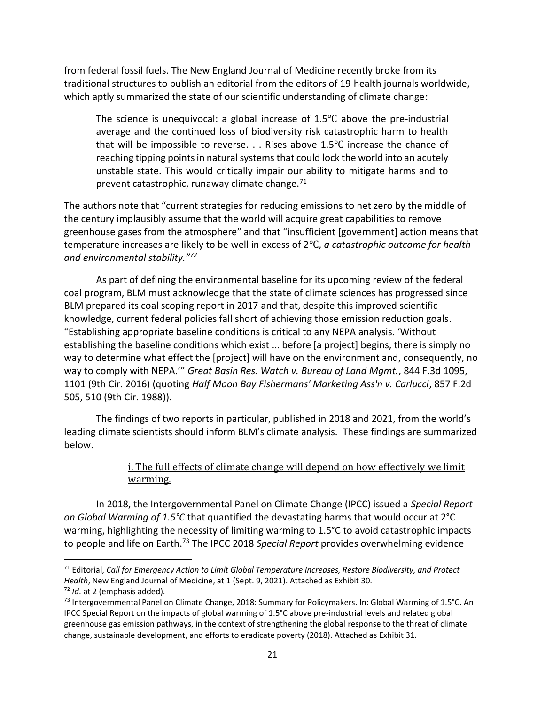from federal fossil fuels. The New England Journal of Medicine recently broke from its traditional structures to publish an editorial from the editors of 19 health journals worldwide, which aptly summarized the state of our scientific understanding of climate change:

The science is unequivocal: a global increase of 1.5℃ above the pre-industrial average and the continued loss of biodiversity risk catastrophic harm to health that will be impossible to reverse. . . Rises above  $1.5^{\circ}$ C increase the chance of reaching tipping points in natural systems that could lock the world into an acutely unstable state. This would critically impair our ability to mitigate harms and to prevent catastrophic, runaway climate change. $71$ 

The authors note that "current strategies for reducing emissions to net zero by the middle of the century implausibly assume that the world will acquire great capabilities to remove greenhouse gases from the atmosphere" and that "insufficient [government] action means that temperature increases are likely to be well in excess of 2℃, *a catastrophic outcome for health and environmental stability."<sup>72</sup>*

As part of defining the environmental baseline for its upcoming review of the federal coal program, BLM must acknowledge that the state of climate sciences has progressed since BLM prepared its coal scoping report in 2017 and that, despite this improved scientific knowledge, current federal policies fall short of achieving those emission reduction goals. "Establishing appropriate baseline conditions is critical to any NEPA analysis. 'Without establishing the baseline conditions which exist ... before [a project] begins, there is simply no way to determine what effect the [project] will have on the environment and, consequently, no way to comply with NEPA.'" *Great Basin Res. Watch v. Bureau of Land Mgmt.*, 844 F.3d 1095, 1101 (9th Cir. 2016) (quoting *Half Moon Bay Fishermans' Marketing Ass'n v. Carlucci*, 857 F.2d 505, 510 (9th Cir. 1988)).

The findings of two reports in particular, published in 2018 and 2021, from the world's leading climate scientists should inform BLM's climate analysis. These findings are summarized below.

# i. The full effects of climate change will depend on how effectively we limit warming.

In 2018, the Intergovernmental Panel on Climate Change (IPCC) issued a *Special Report on Global Warming of 1.5°C* that quantified the devastating harms that would occur at 2°C warming, highlighting the necessity of limiting warming to 1.5°C to avoid catastrophic impacts to people and life on Earth.<sup>73</sup> The IPCC 2018 *Special Report* provides overwhelming evidence

<sup>71</sup> Editorial, *Call for Emergency Action to Limit Global Temperature Increases, Restore Biodiversity, and Protect Health*, New England Journal of Medicine, at 1 (Sept. 9, 2021). Attached as Exhibit 30.

<sup>72</sup> *Id*. at 2 (emphasis added).

<sup>&</sup>lt;sup>73</sup> Intergovernmental Panel on Climate Change, 2018: Summary for Policymakers. In: Global Warming of 1.5°C. An IPCC Special Report on the impacts of global warming of 1.5°C above pre-industrial levels and related global greenhouse gas emission pathways, in the context of strengthening the global response to the threat of climate change, sustainable development, and efforts to eradicate poverty (2018). Attached as Exhibit 31.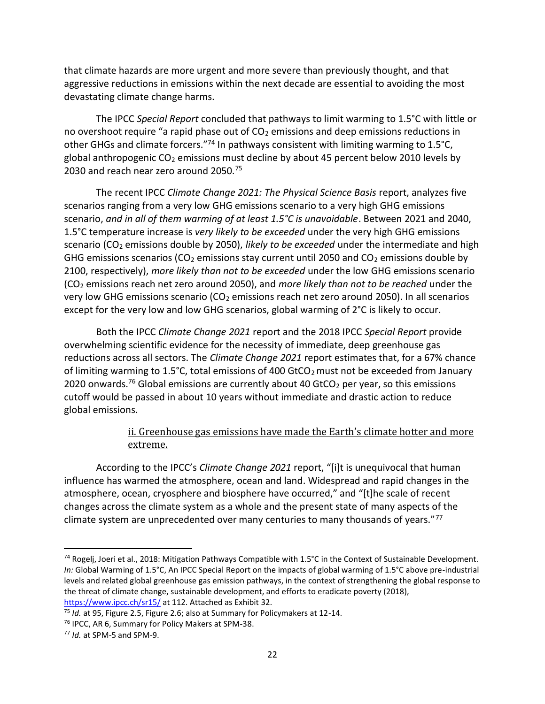that climate hazards are more urgent and more severe than previously thought, and that aggressive reductions in emissions within the next decade are essential to avoiding the most devastating climate change harms.

The IPCC *Special Report* concluded that pathways to limit warming to 1.5°C with little or no overshoot require "a rapid phase out of  $CO<sub>2</sub>$  emissions and deep emissions reductions in other GHGs and climate forcers."74 In pathways consistent with limiting warming to 1.5°C, global anthropogenic  $CO<sub>2</sub>$  emissions must decline by about 45 percent below 2010 levels by 2030 and reach near zero around 2050.<sup>75</sup>

The recent IPCC *Climate Change 2021: The Physical Science Basis* report, analyzes five scenarios ranging from a very low GHG emissions scenario to a very high GHG emissions scenario, *and in all of them warming of at least 1.5°C is unavoidable*. Between 2021 and 2040, 1.5°C temperature increase is *very likely to be exceeded* under the very high GHG emissions scenario (CO<sub>2</sub> emissions double by 2050), *likely to be exceeded* under the intermediate and high GHG emissions scenarios (CO<sub>2</sub> emissions stay current until 2050 and CO<sub>2</sub> emissions double by 2100, respectively), *more likely than not to be exceeded* under the low GHG emissions scenario (CO<sup>2</sup> emissions reach net zero around 2050), and *more likely than not to be reached* under the very low GHG emissions scenario ( $CO<sub>2</sub>$  emissions reach net zero around 2050). In all scenarios except for the very low and low GHG scenarios, global warming of 2°C is likely to occur.

Both the IPCC *Climate Change 2021* report and the 2018 IPCC *Special Report* provide overwhelming scientific evidence for the necessity of immediate, deep greenhouse gas reductions across all sectors. The *Climate Change 2021* report estimates that, for a 67% chance of limiting warming to 1.5°C, total emissions of 400 GtCO<sub>2</sub> must not be exceeded from January 2020 onwards.<sup>76</sup> Global emissions are currently about 40 GtCO<sub>2</sub> per year, so this emissions cutoff would be passed in about 10 years without immediate and drastic action to reduce global emissions.

# ii. Greenhouse gas emissions have made the Earth's climate hotter and more extreme.

According to the IPCC's *Climate Change 2021* report, "[i]t is unequivocal that human influence has warmed the atmosphere, ocean and land. Widespread and rapid changes in the atmosphere, ocean, cryosphere and biosphere have occurred," and "[t]he scale of recent changes across the climate system as a whole and the present state of many aspects of the climate system are unprecedented over many centuries to many thousands of years."<sup>77</sup>

<sup>&</sup>lt;sup>74</sup> Rogelj, Joeri et al., 2018: Mitigation Pathways Compatible with 1.5°C in the Context of Sustainable Development. *In:* Global Warming of 1.5°C, An IPCC Special Report on the impacts of global warming of 1.5°C above pre-industrial levels and related global greenhouse gas emission pathways, in the context of strengthening the global response to the threat of climate change, sustainable development, and efforts to eradicate poverty (2018), <https://www.ipcc.ch/sr15/> at 112. Attached as Exhibit 32.

<sup>75</sup> *Id.* at 95, Figure 2.5, Figure 2.6; also at Summary for Policymakers at 12-14.

<sup>76</sup> IPCC, AR 6, Summary for Policy Makers at SPM-38.

<sup>77</sup> *Id.* at SPM-5 and SPM-9.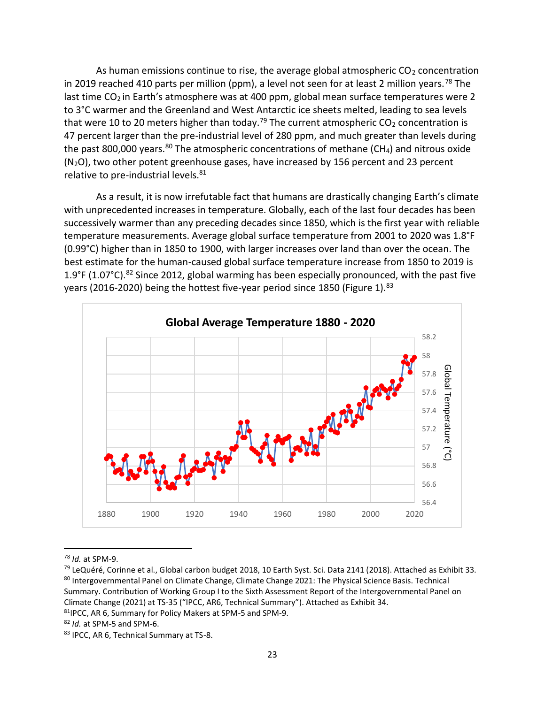As human emissions continue to rise, the average global atmospheric  $CO<sub>2</sub>$  concentration in 2019 reached 410 parts per million (ppm), a level not seen for at least 2 million years.<sup>78</sup> The last time  $CO<sub>2</sub>$  in Earth's atmosphere was at 400 ppm, global mean surface temperatures were 2 to 3°C warmer and the Greenland and West Antarctic ice sheets melted, leading to sea levels that were 10 to 20 meters higher than today.<sup>79</sup> The current atmospheric  $CO<sub>2</sub>$  concentration is 47 percent larger than the pre-industrial level of 280 ppm, and much greater than levels during the past 800,000 years.<sup>80</sup> The atmospheric concentrations of methane (CH<sub>4</sub>) and nitrous oxide  $(N<sub>2</sub>O)$ , two other potent greenhouse gases, have increased by 156 percent and 23 percent relative to pre-industrial levels.<sup>81</sup>

As a result, it is now irrefutable fact that humans are drastically changing Earth's climate with unprecedented increases in temperature. Globally, each of the last four decades has been successively warmer than any preceding decades since 1850, which is the first year with reliable temperature measurements. Average global surface temperature from 2001 to 2020 was 1.8°F (0.99°C) higher than in 1850 to 1900, with larger increases over land than over the ocean. The best estimate for the human-caused global surface temperature increase from 1850 to 2019 is 1.9°F (1.07°C).<sup>82</sup> Since 2012, global warming has been especially pronounced, with the past five years (2016-2020) being the hottest five-year period since 1850 (Figure 1).<sup>83</sup>



<sup>78</sup> *Id.* at SPM-9.

<sup>&</sup>lt;sup>79</sup> LeQuéré, Corinne et al., Global carbon budget 2018, 10 Earth Syst. Sci. Data 2141 (2018). Attached as Exhibit 33. 80 Intergovernmental Panel on Climate Change, Climate Change 2021: The Physical Science Basis. Technical Summary. Contribution of Working Group I to the Sixth Assessment Report of the Intergovernmental Panel on Climate Change (2021) at TS-35 ("IPCC, AR6, Technical Summary"). Attached as Exhibit 34.

<sup>81</sup>IPCC, AR 6, Summary for Policy Makers at SPM-5 and SPM-9.

<sup>82</sup> *Id.* at SPM-5 and SPM-6.

<sup>83</sup> IPCC, AR 6, Technical Summary at TS-8.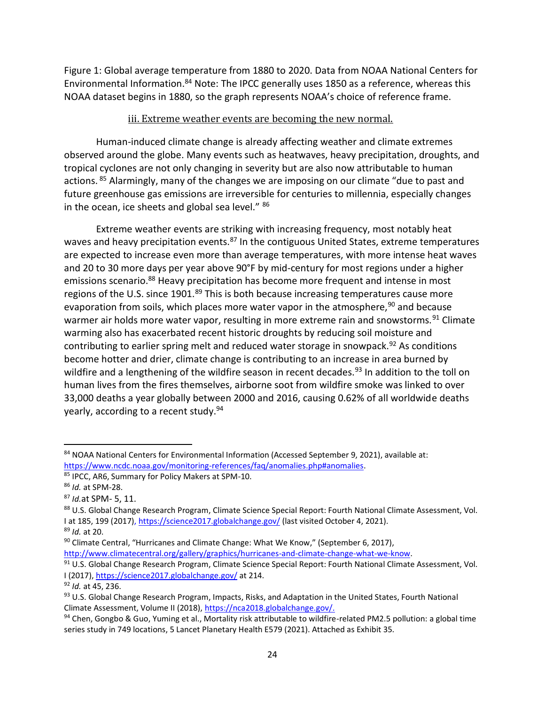Figure 1: Global average temperature from 1880 to 2020. Data from NOAA National Centers for Environmental Information.<sup>84</sup> Note: The IPCC generally uses 1850 as a reference, whereas this NOAA dataset begins in 1880, so the graph represents NOAA's choice of reference frame.

### iii. Extreme weather events are becoming the new normal.

Human-induced climate change is already affecting weather and climate extremes observed around the globe. Many events such as heatwaves, heavy precipitation, droughts, and tropical cyclones are not only changing in severity but are also now attributable to human actions. <sup>85</sup> Alarmingly, many of the changes we are imposing on our climate "due to past and future greenhouse gas emissions are irreversible for centuries to millennia, especially changes in the ocean, ice sheets and global sea level." 86

Extreme weather events are striking with increasing frequency, most notably heat waves and heavy precipitation events.<sup>87</sup> In the contiguous United States, extreme temperatures are expected to increase even more than average temperatures, with more intense heat waves and 20 to 30 more days per year above 90°F by mid-century for most regions under a higher emissions scenario.<sup>88</sup> Heavy precipitation has become more frequent and intense in most regions of the U.S. since 1901.<sup>89</sup> This is both because increasing temperatures cause more evaporation from soils, which places more water vapor in the atmosphere,  $90$  and because warmer air holds more water vapor, resulting in more extreme rain and snowstorms.<sup>91</sup> Climate warming also has exacerbated recent historic droughts by reducing soil moisture and contributing to earlier spring melt and reduced water storage in snowpack.<sup>92</sup> As conditions become hotter and drier, climate change is contributing to an increase in area burned by wildfire and a lengthening of the wildfire season in recent decades.<sup>93</sup> In addition to the toll on human lives from the fires themselves, airborne soot from wildfire smoke was linked to over 33,000 deaths a year globally between 2000 and 2016, causing 0.62% of all worldwide deaths yearly, according to a recent study.<sup>94</sup>

<sup>84</sup> NOAA National Centers for Environmental Information (Accessed September 9, 2021), available at: [https://www.ncdc.noaa.gov/monitoring-references/faq/anomalies.php#anomalies.](https://www.ncdc.noaa.gov/monitoring-references/faq/anomalies.php#anomalies)

<sup>85</sup> IPCC, AR6, Summary for Policy Makers at SPM-10.

<sup>86</sup> *Id.* at SPM-28.

<sup>87</sup> *Id.*at SPM- 5, 11.

<sup>88</sup> U.S. Global Change Research Program, Climate Science Special Report: Fourth National Climate Assessment, Vol. I at 185, 199 (2017)[, https://science2017.globalchange.gov/](https://science2017.globalchange.gov/) (last visited October 4, 2021).

<sup>89</sup> *Id.* at 20.

<sup>90</sup> Climate Central, "Hurricanes and Climate Change: What We Know," (September 6, 2017), [http://www.climatecentral.org/gallery/graphics/hurricanes-and-climate-change-what-we-know.](http://www.climatecentral.org/gallery/graphics/hurricanes-and-climate-change-what-we-know)

<sup>91</sup> U.S. Global Change Research Program, Climate Science Special Report: Fourth National Climate Assessment, Vol. I (2017),<https://science2017.globalchange.gov/> at 214.

<sup>92</sup> *Id.* at 45, 236.

<sup>93</sup> U.S. Global Change Research Program, Impacts, Risks, and Adaptation in the United States, Fourth National Climate Assessment, Volume II (2018), [https://nca2018.globalchange.gov/.](https://nca2018.globalchange.gov/)

<sup>94</sup> Chen, Gongbo & Guo, Yuming et al., Mortality risk attributable to wildfire-related PM2.5 pollution: a global time series study in 749 locations, 5 Lancet Planetary Health E579 (2021). Attached as Exhibit 35.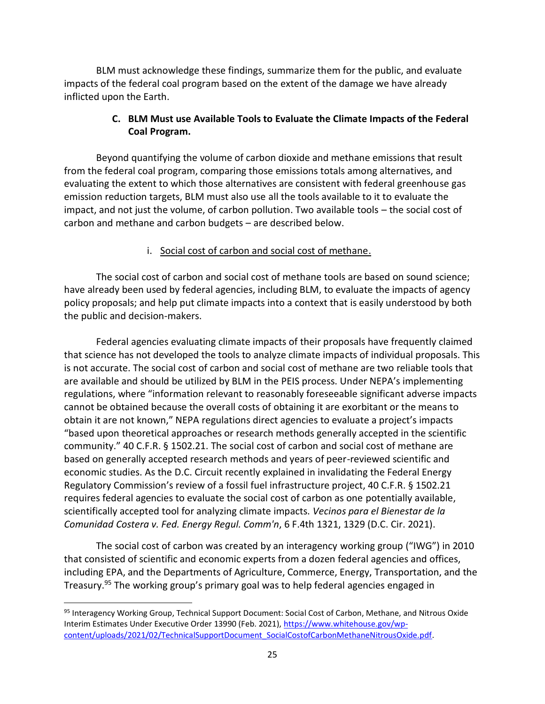BLM must acknowledge these findings, summarize them for the public, and evaluate impacts of the federal coal program based on the extent of the damage we have already inflicted upon the Earth.

# **C. BLM Must use Available Tools to Evaluate the Climate Impacts of the Federal Coal Program.**

Beyond quantifying the volume of carbon dioxide and methane emissions that result from the federal coal program, comparing those emissions totals among alternatives, and evaluating the extent to which those alternatives are consistent with federal greenhouse gas emission reduction targets, BLM must also use all the tools available to it to evaluate the impact, and not just the volume, of carbon pollution. Two available tools – the social cost of carbon and methane and carbon budgets – are described below.

### i. Social cost of carbon and social cost of methane.

The social cost of carbon and social cost of methane tools are based on sound science; have already been used by federal agencies, including BLM, to evaluate the impacts of agency policy proposals; and help put climate impacts into a context that is easily understood by both the public and decision-makers.

Federal agencies evaluating climate impacts of their proposals have frequently claimed that science has not developed the tools to analyze climate impacts of individual proposals. This is not accurate. The social cost of carbon and social cost of methane are two reliable tools that are available and should be utilized by BLM in the PEIS process. Under NEPA's implementing regulations, where "information relevant to reasonably foreseeable significant adverse impacts cannot be obtained because the overall costs of obtaining it are exorbitant or the means to obtain it are not known," NEPA regulations direct agencies to evaluate a project's impacts "based upon theoretical approaches or research methods generally accepted in the scientific community." 40 C.F.R. § 1502.21. The social cost of carbon and social cost of methane are based on generally accepted research methods and years of peer-reviewed scientific and economic studies. As the D.C. Circuit recently explained in invalidating the Federal Energy Regulatory Commission's review of a fossil fuel infrastructure project, 40 C.F.R. § 1502.21 requires federal agencies to evaluate the social cost of carbon as one potentially available, scientifically accepted tool for analyzing climate impacts. *Vecinos para el Bienestar de la Comunidad Costera v. Fed. Energy Regul. Comm'n*, 6 F.4th 1321, 1329 (D.C. Cir. 2021).

The social cost of carbon was created by an interagency working group ("IWG") in 2010 that consisted of scientific and economic experts from a dozen federal agencies and offices, including EPA, and the Departments of Agriculture, Commerce, Energy, Transportation, and the Treasury.<sup>95</sup> The working group's primary goal was to help federal agencies engaged in

<sup>95</sup> Interagency Working Group, Technical Support Document: Social Cost of Carbon, Methane, and Nitrous Oxide Interim Estimates Under Executive Order 13990 (Feb. 2021), [https://www.whitehouse.gov/wp](https://www.whitehouse.gov/wp-content/uploads/2021/02/TechnicalSupportDocument_SocialCostofCarbonMethaneNitrousOxide.pdf)[content/uploads/2021/02/TechnicalSupportDocument\\_SocialCostofCarbonMethaneNitrousOxide.pdf.](https://www.whitehouse.gov/wp-content/uploads/2021/02/TechnicalSupportDocument_SocialCostofCarbonMethaneNitrousOxide.pdf)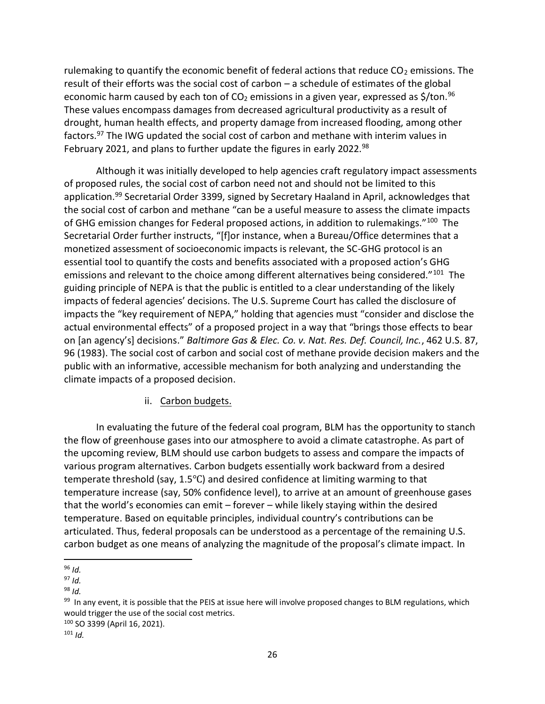rulemaking to quantify the economic benefit of federal actions that reduce  $CO<sub>2</sub>$  emissions. The result of their efforts was the social cost of carbon – a schedule of estimates of the global economic harm caused by each ton of  $CO<sub>2</sub>$  emissions in a given year, expressed as \$/ton.<sup>96</sup> These values encompass damages from decreased agricultural productivity as a result of drought, human health effects, and property damage from increased flooding, among other factors.<sup>97</sup> The IWG updated the social cost of carbon and methane with interim values in February 2021, and plans to further update the figures in early 2022.<sup>98</sup>

Although it was initially developed to help agencies craft regulatory impact assessments of proposed rules, the social cost of carbon need not and should not be limited to this application.<sup>99</sup> Secretarial Order 3399, signed by Secretary Haaland in April, acknowledges that the social cost of carbon and methane "can be a useful measure to assess the climate impacts of GHG emission changes for Federal proposed actions, in addition to rulemakings."<sup>100</sup> The Secretarial Order further instructs, "[f]or instance, when a Bureau/Office determines that a monetized assessment of socioeconomic impacts is relevant, the SC-GHG protocol is an essential tool to quantify the costs and benefits associated with a proposed action's GHG emissions and relevant to the choice among different alternatives being considered."<sup>101</sup> The guiding principle of NEPA is that the public is entitled to a clear understanding of the likely impacts of federal agencies' decisions. The U.S. Supreme Court has called the disclosure of impacts the "key requirement of NEPA," holding that agencies must "consider and disclose the actual environmental effects" of a proposed project in a way that "brings those effects to bear on [an agency's] decisions." *Baltimore Gas & Elec. Co. v. Nat. Res. Def. Council, Inc.*, 462 U.S. 87, 96 (1983). The social cost of carbon and social cost of methane provide decision makers and the public with an informative, accessible mechanism for both analyzing and understanding the climate impacts of a proposed decision.

### ii. Carbon budgets.

In evaluating the future of the federal coal program, BLM has the opportunity to stanch the flow of greenhouse gases into our atmosphere to avoid a climate catastrophe. As part of the upcoming review, BLM should use carbon budgets to assess and compare the impacts of various program alternatives. Carbon budgets essentially work backward from a desired temperate threshold (say, 1.5℃) and desired confidence at limiting warming to that temperature increase (say, 50% confidence level), to arrive at an amount of greenhouse gases that the world's economies can emit – forever – while likely staying within the desired temperature. Based on equitable principles, individual country's contributions can be articulated. Thus, federal proposals can be understood as a percentage of the remaining U.S. carbon budget as one means of analyzing the magnitude of the proposal's climate impact. In

<sup>98</sup> *Id.*

l <sup>96</sup> *Id.*

 $97$  *Id.* 

<sup>&</sup>lt;sup>99</sup> In any event, it is possible that the PEIS at issue here will involve proposed changes to BLM regulations, which would trigger the use of the social cost metrics.

<sup>100</sup> SO 3399 (April 16, 2021).

 $101$  *Id.*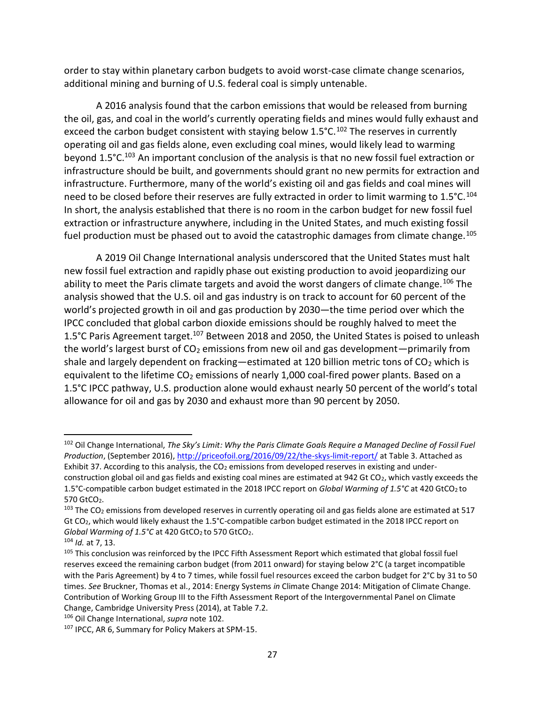order to stay within planetary carbon budgets to avoid worst-case climate change scenarios, additional mining and burning of U.S. federal coal is simply untenable.

A 2016 analysis found that the carbon emissions that would be released from burning the oil, gas, and coal in the world's currently operating fields and mines would fully exhaust and exceed the carbon budget consistent with staying below 1.5°C.<sup>102</sup> The reserves in currently operating oil and gas fields alone, even excluding coal mines, would likely lead to warming beyond 1.5°C.<sup>103</sup> An important conclusion of the analysis is that no new fossil fuel extraction or infrastructure should be built, and governments should grant no new permits for extraction and infrastructure. Furthermore, many of the world's existing oil and gas fields and coal mines will need to be closed before their reserves are fully extracted in order to limit warming to  $1.5^{\circ}$ C.  $104$ In short, the analysis established that there is no room in the carbon budget for new fossil fuel extraction or infrastructure anywhere, including in the United States, and much existing fossil fuel production must be phased out to avoid the catastrophic damages from climate change.<sup>105</sup>

A 2019 Oil Change International analysis underscored that the United States must halt new fossil fuel extraction and rapidly phase out existing production to avoid jeopardizing our ability to meet the Paris climate targets and avoid the worst dangers of climate change.<sup>106</sup> The analysis showed that the U.S. oil and gas industry is on track to account for 60 percent of the world's projected growth in oil and gas production by 2030—the time period over which the IPCC concluded that global carbon dioxide emissions should be roughly halved to meet the 1.5°C Paris Agreement target.<sup>107</sup> Between 2018 and 2050, the United States is poised to unleash the world's largest burst of  $CO<sub>2</sub>$  emissions from new oil and gas development—primarily from shale and largely dependent on fracking—estimated at 120 billion metric tons of  $CO<sub>2</sub>$  which is equivalent to the lifetime  $CO<sub>2</sub>$  emissions of nearly 1,000 coal-fired power plants. Based on a 1.5°C IPCC pathway, U.S. production alone would exhaust nearly 50 percent of the world's total allowance for oil and gas by 2030 and exhaust more than 90 percent by 2050.

<sup>102</sup> Oil Change International, *The Sky's Limit: Why the Paris Climate Goals Require a Managed Decline of Fossil Fuel Production*, (September 2016),<http://priceofoil.org/2016/09/22/the-skys-limit-report/> at Table 3. Attached as Exhibit 37. According to this analysis, the CO<sub>2</sub> emissions from developed reserves in existing and underconstruction global oil and gas fields and existing coal mines are estimated at 942 Gt CO<sub>2</sub>, which vastly exceeds the 1.5°C-compatible carbon budget estimated in the 2018 IPCC report on *Global Warming of 1.5°C* at 420 GtCO<sub>2</sub> to 570 GtCO<sub>2</sub>.

 $103$  The CO<sub>2</sub> emissions from developed reserves in currently operating oil and gas fields alone are estimated at 517 Gt CO2, which would likely exhaust the 1.5°C-compatible carbon budget estimated in the 2018 IPCC report on *Global Warming of 1.5°C* at 420 GtCO<sub>2</sub> to 570 GtCO<sub>2</sub>.

<sup>104</sup> *Id.* at 7, 13.

<sup>&</sup>lt;sup>105</sup> This conclusion was reinforced by the IPCC Fifth Assessment Report which estimated that global fossil fuel reserves exceed the remaining carbon budget (from 2011 onward) for staying below 2°C (a target incompatible with the Paris Agreement) by 4 to 7 times, while fossil fuel resources exceed the carbon budget for 2°C by 31 to 50 times. *See* Bruckner, Thomas et al., 2014: Energy Systems *in* Climate Change 2014: Mitigation of Climate Change. Contribution of Working Group III to the Fifth Assessment Report of the Intergovernmental Panel on Climate Change, Cambridge University Press (2014), at Table 7.2.

<sup>106</sup> Oil Change International, *supra* note 102.

<sup>&</sup>lt;sup>107</sup> IPCC, AR 6, Summary for Policy Makers at SPM-15.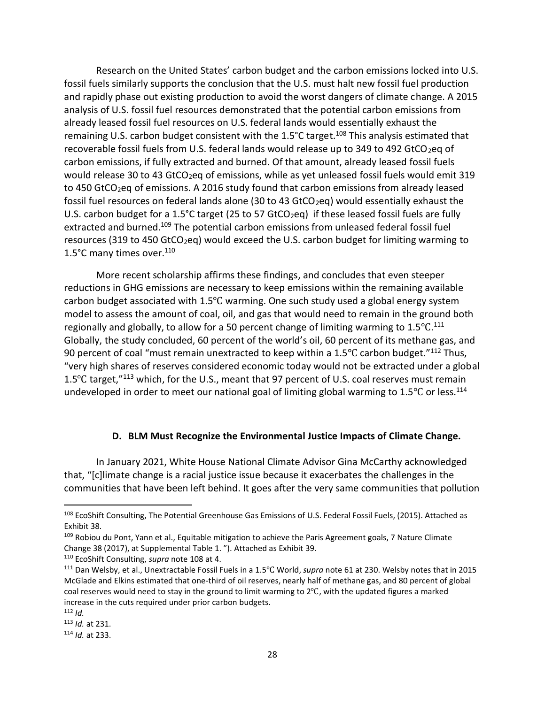Research on the United States' carbon budget and the carbon emissions locked into U.S. fossil fuels similarly supports the conclusion that the U.S. must halt new fossil fuel production and rapidly phase out existing production to avoid the worst dangers of climate change. A 2015 analysis of U.S. fossil fuel resources demonstrated that the potential carbon emissions from already leased fossil fuel resources on U.S. federal lands would essentially exhaust the remaining U.S. carbon budget consistent with the 1.5 $^{\circ}$ C target.<sup>108</sup> This analysis estimated that recoverable fossil fuels from U.S. federal lands would release up to 349 to 492 GtCO<sub>2</sub>eq of carbon emissions, if fully extracted and burned. Of that amount, already leased fossil fuels would release 30 to 43 GtCO<sub>2</sub>eq of emissions, while as yet unleased fossil fuels would emit 319 to 450 GtCO<sub>2</sub>eq of emissions. A 2016 study found that carbon emissions from already leased fossil fuel resources on federal lands alone (30 to 43 GtCO<sub>2</sub>eq) would essentially exhaust the U.S. carbon budget for a 1.5°C target (25 to 57 GtCO<sub>2</sub>eq) if these leased fossil fuels are fully extracted and burned.<sup>109</sup> The potential carbon emissions from unleased federal fossil fuel resources (319 to 450 GtCO<sub>2</sub>eq) would exceed the U.S. carbon budget for limiting warming to 1.5°C many times over.<sup>110</sup>

More recent scholarship affirms these findings, and concludes that even steeper reductions in GHG emissions are necessary to keep emissions within the remaining available carbon budget associated with  $1.5^{\circ}$ C warming. One such study used a global energy system model to assess the amount of coal, oil, and gas that would need to remain in the ground both regionally and globally, to allow for a 50 percent change of limiting warming to 1.5 $^{\circ}$ C.<sup>111</sup> Globally, the study concluded, 60 percent of the world's oil, 60 percent of its methane gas, and 90 percent of coal "must remain unextracted to keep within a  $1.5^{\circ}$ C carbon budget."<sup>112</sup> Thus, "very high shares of reserves considered economic today would not be extracted under a global 1.5℃ target,"<sup>113</sup> which, for the U.S., meant that 97 percent of U.S. coal reserves must remain undeveloped in order to meet our national goal of limiting global warming to  $1.5^{\circ}$ C or less.<sup>114</sup>

#### **D. BLM Must Recognize the Environmental Justice Impacts of Climate Change.**

In January 2021, White House National Climate Advisor Gina McCarthy acknowledged that, "[c]limate change is a racial justice issue because it exacerbates the challenges in the communities that have been left behind. It goes after the very same communities that pollution

<sup>108</sup> EcoShift Consulting, The Potential Greenhouse Gas Emissions of U.S. Federal Fossil Fuels, (2015). Attached as Exhibit 38.

<sup>&</sup>lt;sup>109</sup> Robiou du Pont, Yann et al., Equitable mitigation to achieve the Paris Agreement goals, 7 Nature Climate Change 38 (2017), at Supplemental Table 1. "). Attached as Exhibit 39.

<sup>110</sup> EcoShift Consulting, *supra* note 108 at 4.

<sup>111</sup> Dan Welsby, et al., Unextractable Fossil Fuels in a 1.5℃ World, *supra* note 61 at 230. Welsby notes that in 2015 McGlade and Elkins estimated that one-third of oil reserves, nearly half of methane gas, and 80 percent of global coal reserves would need to stay in the ground to limit warming to 2℃, with the updated figures a marked increase in the cuts required under prior carbon budgets.

<sup>112</sup> *Id.*

<sup>113</sup> *Id.* at 231.

<sup>114</sup> *Id.* at 233.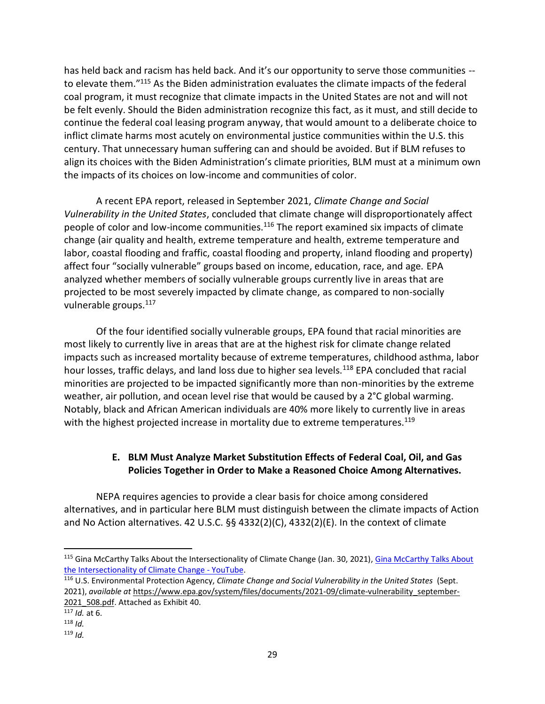has held back and racism has held back. And it's our opportunity to serve those communities - to elevate them."<sup>115</sup> As the Biden administration evaluates the climate impacts of the federal coal program, it must recognize that climate impacts in the United States are not and will not be felt evenly. Should the Biden administration recognize this fact, as it must, and still decide to continue the federal coal leasing program anyway, that would amount to a deliberate choice to inflict climate harms most acutely on environmental justice communities within the U.S. this century. That unnecessary human suffering can and should be avoided. But if BLM refuses to align its choices with the Biden Administration's climate priorities, BLM must at a minimum own the impacts of its choices on low-income and communities of color.

A recent EPA report, released in September 2021, *Climate Change and Social Vulnerability in the United States*, concluded that climate change will disproportionately affect people of color and low-income communities.<sup>116</sup> The report examined six impacts of climate change (air quality and health, extreme temperature and health, extreme temperature and labor, coastal flooding and fraffic, coastal flooding and property, inland flooding and property) affect four "socially vulnerable" groups based on income, education, race, and age. EPA analyzed whether members of socially vulnerable groups currently live in areas that are projected to be most severely impacted by climate change, as compared to non-socially vulnerable groups.<sup>117</sup>

Of the four identified socially vulnerable groups, EPA found that racial minorities are most likely to currently live in areas that are at the highest risk for climate change related impacts such as increased mortality because of extreme temperatures, childhood asthma, labor hour losses, traffic delays, and land loss due to higher sea levels.<sup>118</sup> EPA concluded that racial minorities are projected to be impacted significantly more than non-minorities by the extreme weather, air pollution, and ocean level rise that would be caused by a 2°C global warming. Notably, black and African American individuals are 40% more likely to currently live in areas with the highest projected increase in mortality due to extreme temperatures.<sup>119</sup>

# **E. BLM Must Analyze Market Substitution Effects of Federal Coal, Oil, and Gas Policies Together in Order to Make a Reasoned Choice Among Alternatives.**

NEPA requires agencies to provide a clear basis for choice among considered alternatives, and in particular here BLM must distinguish between the climate impacts of Action and No Action alternatives. 42 U.S.C. §§ 4332(2)(C), 4332(2)(E). In the context of climate

<sup>&</sup>lt;sup>115</sup> Gina McCarthy Talks About the Intersectionality of Climate Change (Jan. 30, 2021), Gina McCarthy Talks About [the Intersectionality of Climate Change -](https://www.youtube.com/watch?v=z9RfN375QDI) YouTube.

<sup>116</sup> U.S. Environmental Protection Agency, *Climate Change and Social Vulnerability in the United States* (Sept. 2021), *available at* [https://www.epa.gov/system/files/documents/2021-09/climate-vulnerability\\_september-](https://www.epa.gov/system/files/documents/2021-09/climate-vulnerability_september-2021_508.pdf)2021 508.pdf. Attached as Exhibit 40.

<sup>117</sup> *Id.* at 6.

<sup>118</sup> *Id.*

<sup>119</sup> *Id.*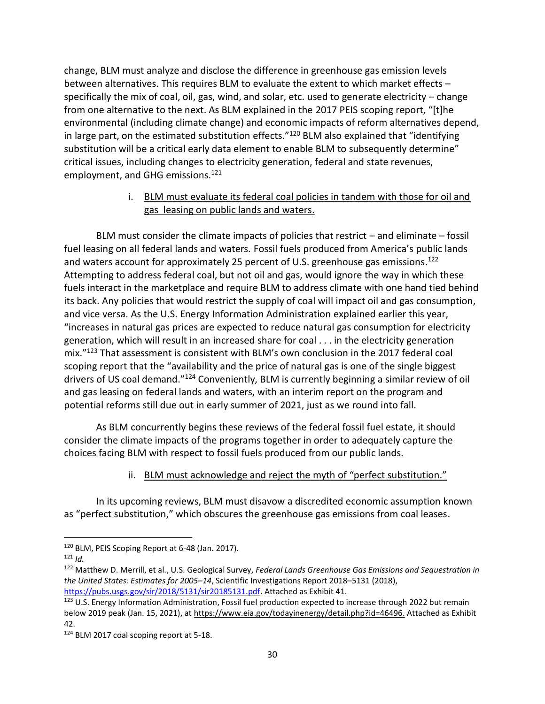change, BLM must analyze and disclose the difference in greenhouse gas emission levels between alternatives. This requires BLM to evaluate the extent to which market effects – specifically the mix of coal, oil, gas, wind, and solar, etc. used to generate electricity – change from one alternative to the next. As BLM explained in the 2017 PEIS scoping report, "[t]he environmental (including climate change) and economic impacts of reform alternatives depend, in large part, on the estimated substitution effects."<sup>120</sup> BLM also explained that "identifying substitution will be a critical early data element to enable BLM to subsequently determine" critical issues, including changes to electricity generation, federal and state revenues, employment, and GHG emissions.<sup>121</sup>

### i. BLM must evaluate its federal coal policies in tandem with those for oil and gas leasing on public lands and waters.

BLM must consider the climate impacts of policies that restrict – and eliminate – fossil fuel leasing on all federal lands and waters. Fossil fuels produced from America's public lands and waters account for approximately 25 percent of U.S. greenhouse gas emissions.<sup>122</sup> Attempting to address federal coal, but not oil and gas, would ignore the way in which these fuels interact in the marketplace and require BLM to address climate with one hand tied behind its back. Any policies that would restrict the supply of coal will impact oil and gas consumption, and vice versa. As the U.S. Energy Information Administration explained earlier this year, "increases in natural gas prices are expected to reduce natural gas consumption for electricity generation, which will result in an increased share for coal . . . in the electricity generation mix."<sup>123</sup> That assessment is consistent with BLM's own conclusion in the 2017 federal coal scoping report that the "availability and the price of natural gas is one of the single biggest drivers of US coal demand."<sup>124</sup> Conveniently, BLM is currently beginning a similar review of oil and gas leasing on federal lands and waters, with an interim report on the program and potential reforms still due out in early summer of 2021, just as we round into fall.

As BLM concurrently begins these reviews of the federal fossil fuel estate, it should consider the climate impacts of the programs together in order to adequately capture the choices facing BLM with respect to fossil fuels produced from our public lands.

### ii. BLM must acknowledge and reject the myth of "perfect substitution."

In its upcoming reviews, BLM must disavow a discredited economic assumption known as "perfect substitution," which obscures the greenhouse gas emissions from coal leases.

<sup>120</sup> BLM, PEIS Scoping Report at 6-48 (Jan. 2017).

 $121$  *Id.* 

<sup>122</sup> Matthew D. Merrill, et al., U.S. Geological Survey, *Federal Lands Greenhouse Gas Emissions and Sequestration in the United States: Estimates for 2005–14*, Scientific Investigations Report 2018–5131 (2018), [https://pubs.usgs.gov/sir/2018/5131/sir20185131.pdf.](https://pubs.usgs.gov/sir/2018/5131/sir20185131.pdf) Attached as Exhibit 41.

<sup>&</sup>lt;sup>123</sup> U.S. Energy Information Administration, Fossil fuel production expected to increase through 2022 but remain below 2019 peak (Jan. 15, 2021), at [https://www.eia.gov/todayinenergy/detail.php?id=46496.](https://www.eia.gov/todayinenergy/detail.php?id=46496) Attached as Exhibit 42.

<sup>124</sup> BLM 2017 coal scoping report at 5-18.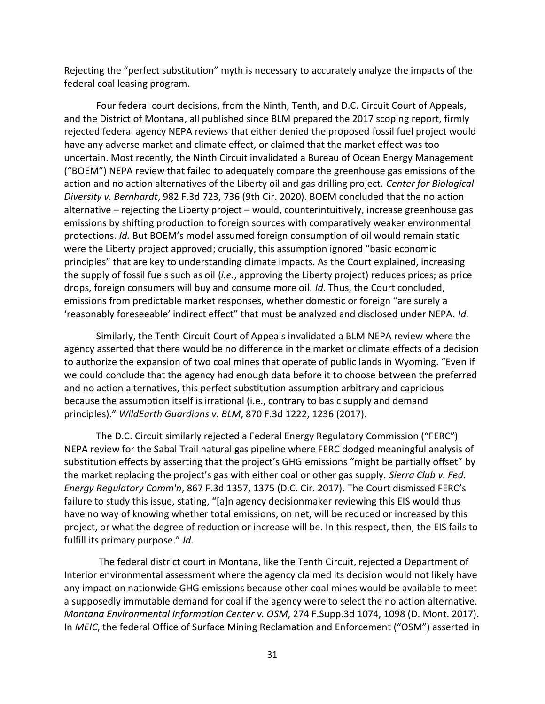Rejecting the "perfect substitution" myth is necessary to accurately analyze the impacts of the federal coal leasing program.

Four federal court decisions, from the Ninth, Tenth, and D.C. Circuit Court of Appeals, and the District of Montana, all published since BLM prepared the 2017 scoping report, firmly rejected federal agency NEPA reviews that either denied the proposed fossil fuel project would have any adverse market and climate effect, or claimed that the market effect was too uncertain. Most recently, the Ninth Circuit invalidated a Bureau of Ocean Energy Management ("BOEM") NEPA review that failed to adequately compare the greenhouse gas emissions of the action and no action alternatives of the Liberty oil and gas drilling project. *Center for Biological Diversity v. Bernhardt*, 982 F.3d 723, 736 (9th Cir. 2020). BOEM concluded that the no action alternative – rejecting the Liberty project – would, counterintuitively, increase greenhouse gas emissions by shifting production to foreign sources with comparatively weaker environmental protections. *Id.* But BOEM's model assumed foreign consumption of oil would remain static were the Liberty project approved; crucially, this assumption ignored "basic economic principles" that are key to understanding climate impacts. As the Court explained, increasing the supply of fossil fuels such as oil (*i.e.*, approving the Liberty project) reduces prices; as price drops, foreign consumers will buy and consume more oil. *Id.* Thus, the Court concluded, emissions from predictable market responses, whether domestic or foreign "are surely a 'reasonably foreseeable' indirect effect" that must be analyzed and disclosed under NEPA. *Id.*

Similarly, the Tenth Circuit Court of Appeals invalidated a BLM NEPA review where the agency asserted that there would be no difference in the market or climate effects of a decision to authorize the expansion of two coal mines that operate of public lands in Wyoming. "Even if we could conclude that the agency had enough data before it to choose between the preferred and no action alternatives, this perfect substitution assumption arbitrary and capricious because the assumption itself is irrational (i.e., contrary to basic supply and demand principles)." *WildEarth Guardians v. BLM*, 870 F.3d 1222, 1236 (2017).

The D.C. Circuit similarly rejected a Federal Energy Regulatory Commission ("FERC") NEPA review for the Sabal Trail natural gas pipeline where FERC dodged meaningful analysis of substitution effects by asserting that the project's GHG emissions "might be partially offset" by the market replacing the project's gas with either coal or other gas supply. *Sierra Club v. Fed. Energy Regulatory Comm'n*, 867 F.3d 1357, 1375 (D.C. Cir. 2017). The Court dismissed FERC's failure to study this issue, stating, "[a]n agency decisionmaker reviewing this EIS would thus have no way of knowing whether total emissions, on net, will be reduced or increased by this project, or what the degree of reduction or increase will be. In this respect, then, the EIS fails to fulfill its primary purpose." *Id.*

The federal district court in Montana, like the Tenth Circuit, rejected a Department of Interior environmental assessment where the agency claimed its decision would not likely have any impact on nationwide GHG emissions because other coal mines would be available to meet a supposedly immutable demand for coal if the agency were to select the no action alternative. *Montana Environmental Information Center v. OSM*, 274 F.Supp.3d 1074, 1098 (D. Mont. 2017). In *MEIC*, the federal Office of Surface Mining Reclamation and Enforcement ("OSM") asserted in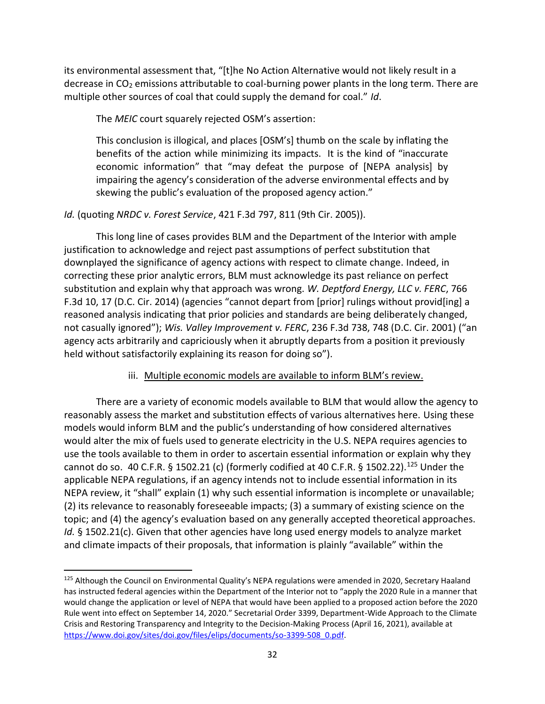its environmental assessment that, "[t]he No Action Alternative would not likely result in a decrease in  $CO<sub>2</sub>$  emissions attributable to coal-burning power plants in the long term. There are multiple other sources of coal that could supply the demand for coal." *Id*.

The *MEIC* court squarely rejected OSM's assertion:

This conclusion is illogical, and places [OSM's] thumb on the scale by inflating the benefits of the action while minimizing its impacts. It is the kind of "inaccurate economic information" that "may defeat the purpose of [NEPA analysis] by impairing the agency's consideration of the adverse environmental effects and by skewing the public's evaluation of the proposed agency action."

### *Id.* (quoting *NRDC v. Forest Service*, 421 F.3d 797, 811 (9th Cir. 2005)).

This long line of cases provides BLM and the Department of the Interior with ample justification to acknowledge and reject past assumptions of perfect substitution that downplayed the significance of agency actions with respect to climate change. Indeed, in correcting these prior analytic errors, BLM must acknowledge its past reliance on perfect substitution and explain why that approach was wrong. *W. Deptford Energy, LLC v. FERC*, 766 F.3d 10, 17 (D.C. Cir. 2014) (agencies "cannot depart from [prior] rulings without provid[ing] a reasoned analysis indicating that prior policies and standards are being deliberately changed, not casually ignored"); *Wis. Valley Improvement v. FERC*, 236 F.3d 738, 748 (D.C. Cir. 2001) ("an agency acts arbitrarily and capriciously when it abruptly departs from a position it previously held without satisfactorily explaining its reason for doing so").

### iii. Multiple economic models are available to inform BLM's review.

There are a variety of economic models available to BLM that would allow the agency to reasonably assess the market and substitution effects of various alternatives here. Using these models would inform BLM and the public's understanding of how considered alternatives would alter the mix of fuels used to generate electricity in the U.S. NEPA requires agencies to use the tools available to them in order to ascertain essential information or explain why they cannot do so. 40 C.F.R. § 1502.21 (c) (formerly codified at 40 C.F.R. § 1502.22).<sup>125</sup> Under the applicable NEPA regulations, if an agency intends not to include essential information in its NEPA review, it "shall" explain (1) why such essential information is incomplete or unavailable; (2) its relevance to reasonably foreseeable impacts; (3) a summary of existing science on the topic; and (4) the agency's evaluation based on any generally accepted theoretical approaches. *Id.* § 1502.21(c). Given that other agencies have long used energy models to analyze market and climate impacts of their proposals, that information is plainly "available" within the

<sup>&</sup>lt;sup>125</sup> Although the Council on Environmental Quality's NEPA regulations were amended in 2020, Secretary Haaland has instructed federal agencies within the Department of the Interior not to "apply the 2020 Rule in a manner that would change the application or level of NEPA that would have been applied to a proposed action before the 2020 Rule went into effect on September 14, 2020." Secretarial Order 3399, Department-Wide Approach to the Climate Crisis and Restoring Transparency and Integrity to the Decision-Making Process (April 16, 2021), available at [https://www.doi.gov/sites/doi.gov/files/elips/documents/so-3399-508\\_0.pdf.](https://www.doi.gov/sites/doi.gov/files/elips/documents/so-3399-508_0.pdf)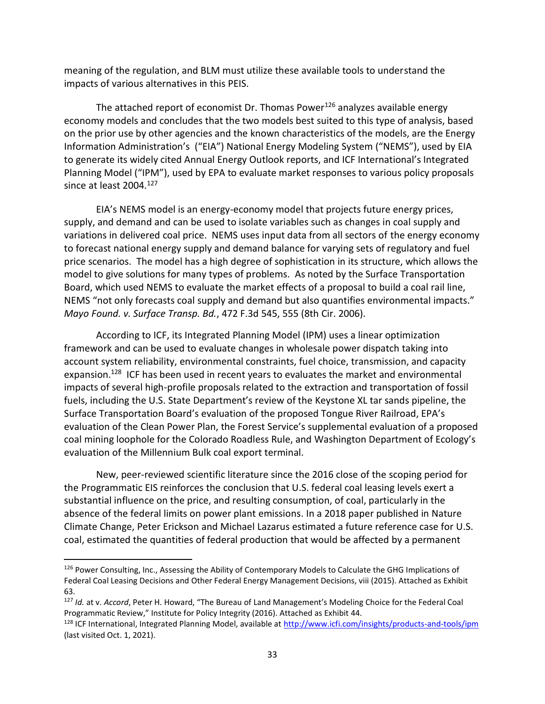meaning of the regulation, and BLM must utilize these available tools to understand the impacts of various alternatives in this PEIS.

The attached report of economist Dr. Thomas Power<sup>126</sup> analyzes available energy economy models and concludes that the two models best suited to this type of analysis, based on the prior use by other agencies and the known characteristics of the models, are the Energy Information Administration's ("EIA") National Energy Modeling System ("NEMS"), used by EIA to generate its widely cited Annual Energy Outlook reports, and ICF International's Integrated Planning Model ("IPM"), used by EPA to evaluate market responses to various policy proposals since at least 2004.<sup>127</sup>

EIA's NEMS model is an energy-economy model that projects future energy prices, supply, and demand and can be used to isolate variables such as changes in coal supply and variations in delivered coal price. NEMS uses input data from all sectors of the energy economy to forecast national energy supply and demand balance for varying sets of regulatory and fuel price scenarios. The model has a high degree of sophistication in its structure, which allows the model to give solutions for many types of problems. As noted by the Surface Transportation Board, which used NEMS to evaluate the market effects of a proposal to build a coal rail line, NEMS "not only forecasts coal supply and demand but also quantifies environmental impacts." *Mayo Found. v. Surface Transp. Bd.*, 472 F.3d 545, 555 (8th Cir. 2006).

According to ICF, its Integrated Planning Model (IPM) uses a linear optimization framework and can be used to evaluate changes in wholesale power dispatch taking into account system reliability, environmental constraints, fuel choice, transmission, and capacity expansion.<sup>128</sup> ICF has been used in recent years to evaluates the market and environmental impacts of several high-profile proposals related to the extraction and transportation of fossil fuels, including the U.S. State Department's review of the Keystone XL tar sands pipeline, the Surface Transportation Board's evaluation of the proposed Tongue River Railroad, EPA's evaluation of the Clean Power Plan, the Forest Service's supplemental evaluation of a proposed coal mining loophole for the Colorado Roadless Rule, and Washington Department of Ecology's evaluation of the Millennium Bulk coal export terminal.

New, peer-reviewed scientific literature since the 2016 close of the scoping period for the Programmatic EIS reinforces the conclusion that U.S. federal coal leasing levels exert a substantial influence on the price, and resulting consumption, of coal, particularly in the absence of the federal limits on power plant emissions. In a 2018 paper published in Nature Climate Change, Peter Erickson and Michael Lazarus estimated a future reference case for U.S. coal, estimated the quantities of federal production that would be affected by a permanent

<sup>&</sup>lt;sup>126</sup> Power Consulting, Inc., Assessing the Ability of Contemporary Models to Calculate the GHG Implications of Federal Coal Leasing Decisions and Other Federal Energy Management Decisions, viii (2015). Attached as Exhibit 63.

<sup>127</sup> *Id.* at v. *Accord*, Peter H. Howard, "The Bureau of Land Management's Modeling Choice for the Federal Coal Programmatic Review," Institute for Policy Integrity (2016). Attached as Exhibit 44.

<sup>128</sup> ICF International, Integrated Planning Model, available a[t http://www.icfi.com/insights/products-and-tools/ipm](http://www.icfi.com/insights/products-and-tools/ipm) (last visited Oct. 1, 2021).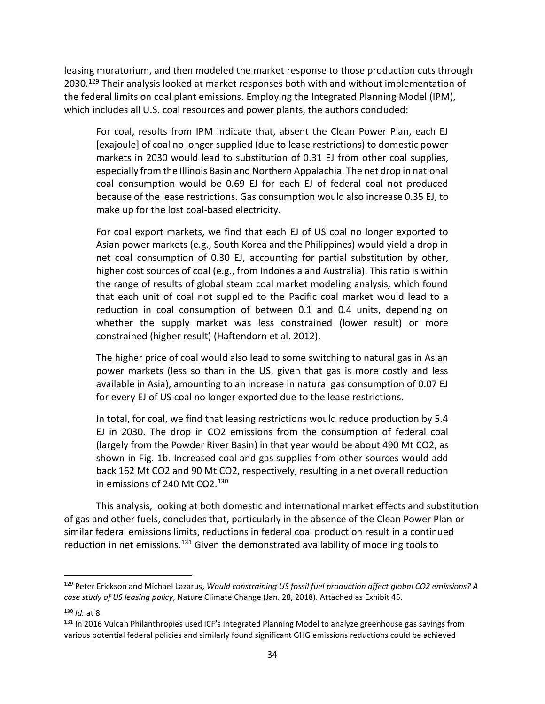leasing moratorium, and then modeled the market response to those production cuts through 2030.<sup>129</sup> Their analysis looked at market responses both with and without implementation of the federal limits on coal plant emissions. Employing the Integrated Planning Model (IPM), which includes all U.S. coal resources and power plants, the authors concluded:

For coal, results from IPM indicate that, absent the Clean Power Plan, each EJ [exajoule] of coal no longer supplied (due to lease restrictions) to domestic power markets in 2030 would lead to substitution of 0.31 EJ from other coal supplies, especially from the Illinois Basin and Northern Appalachia. The net drop in national coal consumption would be 0.69 EJ for each EJ of federal coal not produced because of the lease restrictions. Gas consumption would also increase 0.35 EJ, to make up for the lost coal-based electricity.

For coal export markets, we find that each EJ of US coal no longer exported to Asian power markets (e.g., South Korea and the Philippines) would yield a drop in net coal consumption of 0.30 EJ, accounting for partial substitution by other, higher cost sources of coal (e.g., from Indonesia and Australia). This ratio is within the range of results of global steam coal market modeling analysis, which found that each unit of coal not supplied to the Pacific coal market would lead to a reduction in coal consumption of between 0.1 and 0.4 units, depending on whether the supply market was less constrained (lower result) or more constrained (higher result) (Haftendorn et al. 2012).

The higher price of coal would also lead to some switching to natural gas in Asian power markets (less so than in the US, given that gas is more costly and less available in Asia), amounting to an increase in natural gas consumption of 0.07 EJ for every EJ of US coal no longer exported due to the lease restrictions.

In total, for coal, we find that leasing restrictions would reduce production by 5.4 EJ in 2030. The drop in CO2 emissions from the consumption of federal coal (largely from the Powder River Basin) in that year would be about 490 Mt CO2, as shown in Fig. 1b. Increased coal and gas supplies from other sources would add back 162 Mt CO2 and 90 Mt CO2, respectively, resulting in a net overall reduction in emissions of 240 Mt CO2.<sup>130</sup>

This analysis, looking at both domestic and international market effects and substitution of gas and other fuels, concludes that, particularly in the absence of the Clean Power Plan or similar federal emissions limits, reductions in federal coal production result in a continued reduction in net emissions.<sup>131</sup> Given the demonstrated availability of modeling tools to

<sup>129</sup> Peter Erickson and Michael Lazarus, *Would constraining US fossil fuel production affect global CO2 emissions? A case study of US leasing policy*, Nature Climate Change (Jan. 28, 2018). Attached as Exhibit 45.

<sup>130</sup> *Id.* at 8.

<sup>&</sup>lt;sup>131</sup> In 2016 Vulcan Philanthropies used ICF's Integrated Planning Model to analyze greenhouse gas savings from various potential federal policies and similarly found significant GHG emissions reductions could be achieved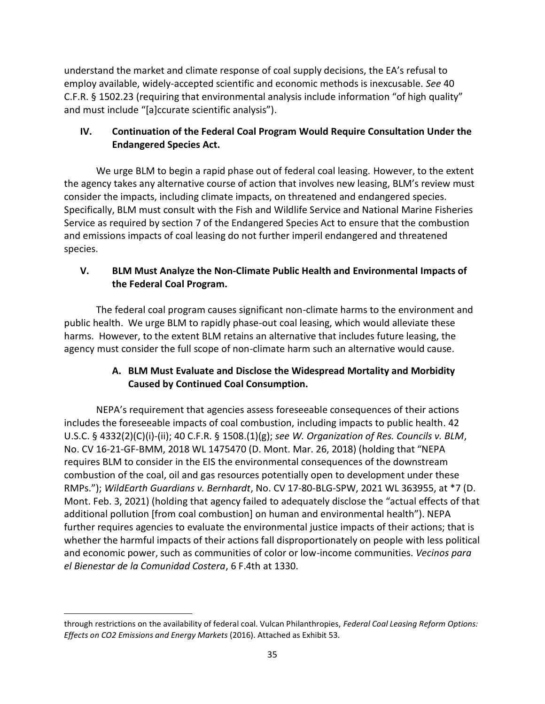understand the market and climate response of coal supply decisions, the EA's refusal to employ available, widely-accepted scientific and economic methods is inexcusable. *See* 40 C.F.R. § 1502.23 (requiring that environmental analysis include information "of high quality" and must include "[a]ccurate scientific analysis").

# **IV. Continuation of the Federal Coal Program Would Require Consultation Under the Endangered Species Act.**

We urge BLM to begin a rapid phase out of federal coal leasing. However, to the extent the agency takes any alternative course of action that involves new leasing, BLM's review must consider the impacts, including climate impacts, on threatened and endangered species. Specifically, BLM must consult with the Fish and Wildlife Service and National Marine Fisheries Service as required by section 7 of the Endangered Species Act to ensure that the combustion and emissions impacts of coal leasing do not further imperil endangered and threatened species.

# **V. BLM Must Analyze the Non-Climate Public Health and Environmental Impacts of the Federal Coal Program.**

The federal coal program causes significant non-climate harms to the environment and public health. We urge BLM to rapidly phase-out coal leasing, which would alleviate these harms. However, to the extent BLM retains an alternative that includes future leasing, the agency must consider the full scope of non-climate harm such an alternative would cause.

# **A. BLM Must Evaluate and Disclose the Widespread Mortality and Morbidity Caused by Continued Coal Consumption.**

NEPA's requirement that agencies assess foreseeable consequences of their actions includes the foreseeable impacts of coal combustion, including impacts to public health. 42 U.S.C. § 4332(2)(C)(i)-(ii); 40 C.F.R. § 1508.(1)(g); *see W. Organization of Res. Councils v. BLM*, No. CV 16-21-GF-BMM, 2018 WL 1475470 (D. Mont. Mar. 26, 2018) (holding that "NEPA requires BLM to consider in the EIS the environmental consequences of the downstream combustion of the coal, oil and gas resources potentially open to development under these RMPs."); *WildEarth Guardians v. Bernhardt*, No. CV 17-80-BLG-SPW, 2021 WL 363955, at \*7 (D. Mont. Feb. 3, 2021) (holding that agency failed to adequately disclose the "actual effects of that additional pollution [from coal combustion] on human and environmental health"). NEPA further requires agencies to evaluate the environmental justice impacts of their actions; that is whether the harmful impacts of their actions fall disproportionately on people with less political and economic power, such as communities of color or low-income communities. *Vecinos para el Bienestar de la Comunidad Costera*, 6 F.4th at 1330.

through restrictions on the availability of federal coal. Vulcan Philanthropies, *Federal Coal Leasing Reform Options: Effects on CO2 Emissions and Energy Markets* (2016). Attached as Exhibit 53.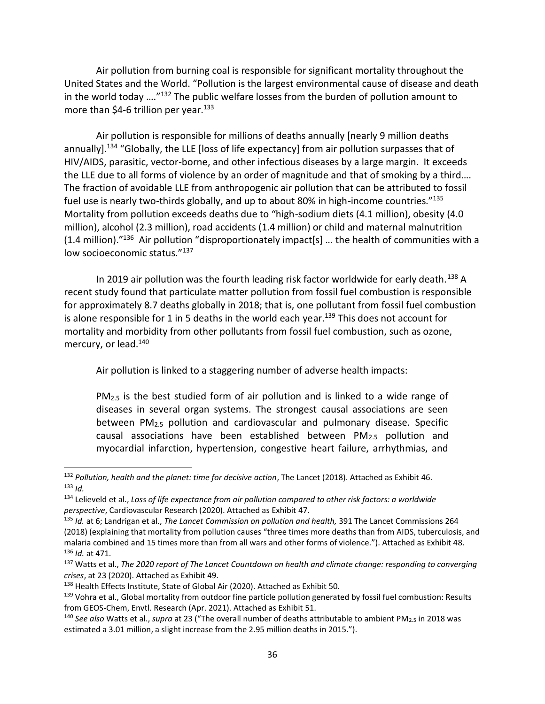Air pollution from burning coal is responsible for significant mortality throughout the United States and the World. "Pollution is the largest environmental cause of disease and death in the world today …."<sup>132</sup> The public welfare losses from the burden of pollution amount to more than \$4-6 trillion per year. $133$ 

Air pollution is responsible for millions of deaths annually [nearly 9 million deaths annually].<sup>134</sup> "Globally, the LLE [loss of life expectancy] from air pollution surpasses that of HIV/AIDS, parasitic, vector-borne, and other infectious diseases by a large margin. It exceeds the LLE due to all forms of violence by an order of magnitude and that of smoking by a third…. The fraction of avoidable LLE from anthropogenic air pollution that can be attributed to fossil fuel use is nearly two-thirds globally, and up to about 80% in high-income countries."<sup>135</sup> Mortality from pollution exceeds deaths due to "high-sodium diets (4.1 million), obesity (4.0 million), alcohol (2.3 million), road accidents (1.4 million) or child and maternal malnutrition  $(1.4 \text{ million})$ ."<sup>136</sup> Air pollution "disproportionately impact[s] ... the health of communities with a low socioeconomic status."<sup>137</sup>

In 2019 air pollution was the fourth leading risk factor worldwide for early death.<sup>138</sup> A recent study found that particulate matter pollution from fossil fuel combustion is responsible for approximately 8.7 deaths globally in 2018; that is, one pollutant from fossil fuel combustion is alone responsible for 1 in 5 deaths in the world each year.<sup>139</sup> This does not account for mortality and morbidity from other pollutants from fossil fuel combustion, such as ozone, mercury, or lead.<sup>140</sup>

Air pollution is linked to a staggering number of adverse health impacts:

 $PM<sub>2.5</sub>$  is the best studied form of air pollution and is linked to a wide range of diseases in several organ systems. The strongest causal associations are seen between PM2.5 pollution and cardiovascular and pulmonary disease. Specific causal associations have been established between PM2.5 pollution and myocardial infarction, hypertension, congestive heart failure, arrhythmias, and

<sup>132</sup> *Pollution, health and the planet: time for decisive action*, The Lancet (2018). Attached as Exhibit 46. <sup>133</sup> *Id.*

<sup>134</sup> Lelieveld et al., *Loss of life expectance from air pollution compared to other risk factors: a worldwide perspective*, Cardiovascular Research (2020). Attached as Exhibit 47.

<sup>135</sup> *Id.* at 6; Landrigan et al., *The Lancet Commission on pollution and health,* 391 The Lancet Commissions 264 (2018) (explaining that mortality from pollution causes "three times more deaths than from AIDS, tuberculosis, and malaria combined and 15 times more than from all wars and other forms of violence."). Attached as Exhibit 48. <sup>136</sup> *Id.* at 471.

<sup>137</sup> Watts et al., *The 2020 report of The Lancet Countdown on health and climate change: responding to converging crises*, at 23 (2020). Attached as Exhibit 49.

<sup>138</sup> Health Effects Institute, State of Global Air (2020). Attached as Exhibit 50.

<sup>139</sup> Vohra et al., Global mortality from outdoor fine particle pollution generated by fossil fuel combustion: Results from GEOS-Chem, Envtl. Research (Apr. 2021). Attached as Exhibit 51.

<sup>140</sup> *See also* Watts et al., *supra* at 23 ("The overall number of deaths attributable to ambient PM2.5 in 2018 was estimated a 3.01 million, a slight increase from the 2.95 million deaths in 2015.").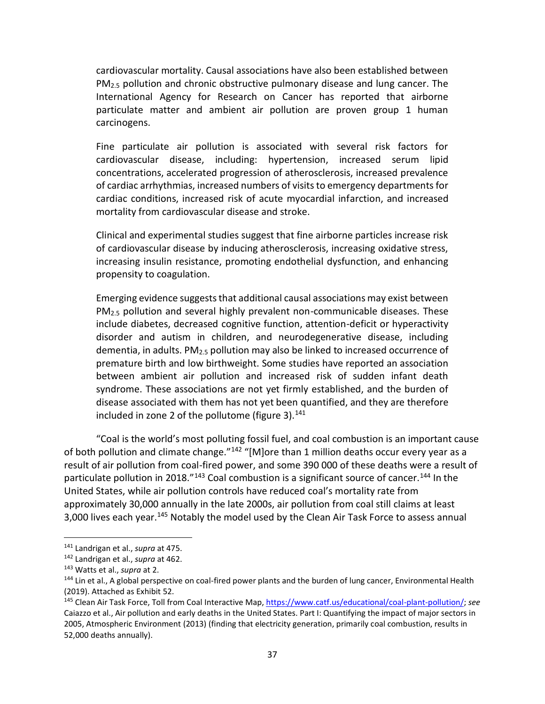cardiovascular mortality. Causal associations have also been established between PM<sub>2.5</sub> pollution and chronic obstructive pulmonary disease and lung cancer. The International Agency for Research on Cancer has reported that airborne particulate matter and ambient air pollution are proven group 1 human carcinogens.

Fine particulate air pollution is associated with several risk factors for cardiovascular disease, including: hypertension, increased serum lipid concentrations, accelerated progression of atherosclerosis, increased prevalence of cardiac arrhythmias, increased numbers of visits to emergency departments for cardiac conditions, increased risk of acute myocardial infarction, and increased mortality from cardiovascular disease and stroke.

Clinical and experimental studies suggest that fine airborne particles increase risk of cardiovascular disease by inducing atherosclerosis, increasing oxidative stress, increasing insulin resistance, promoting endothelial dysfunction, and enhancing propensity to coagulation.

Emerging evidence suggests that additional causal associations may exist between PM2.5 pollution and several highly prevalent non-communicable diseases. These include diabetes, decreased cognitive function, attention-deficit or hyperactivity disorder and autism in children, and neurodegenerative disease, including dementia, in adults.  $PM_{2.5}$  pollution may also be linked to increased occurrence of premature birth and low birthweight. Some studies have reported an association between ambient air pollution and increased risk of sudden infant death syndrome. These associations are not yet firmly established, and the burden of disease associated with them has not yet been quantified, and they are therefore included in zone 2 of the pollutome (figure 3). $141$ 

"Coal is the world's most polluting fossil fuel, and coal combustion is an important cause of both pollution and climate change."<sup>142</sup> "[M]ore than 1 million deaths occur every year as a result of air pollution from coal-fired power, and some 390 000 of these deaths were a result of particulate pollution in 2018."<sup>143</sup> Coal combustion is a significant source of cancer.<sup>144</sup> In the United States, while air pollution controls have reduced coal's mortality rate from approximately 30,000 annually in the late 2000s, air pollution from coal still claims at least 3,000 lives each year.<sup>145</sup> Notably the model used by the Clean Air Task Force to assess annual

<sup>141</sup> Landrigan et al., *supra* at 475.

<sup>142</sup> Landrigan et al., *supra* at 462.

<sup>143</sup> Watts et al., *supra* at 2.

<sup>&</sup>lt;sup>144</sup> Lin et al., A global perspective on coal-fired power plants and the burden of lung cancer, Environmental Health (2019). Attached as Exhibit 52.

<sup>145</sup> Clean Air Task Force, Toll from Coal Interactive Map, [https://www.catf.us/educational/coal-plant-pollution/;](https://www.catf.us/educational/coal-plant-pollution/) *see* Caiazzo et al., Air pollution and early deaths in the United States. Part I: Quantifying the impact of major sectors in 2005, Atmospheric Environment (2013) (finding that electricity generation, primarily coal combustion, results in 52,000 deaths annually).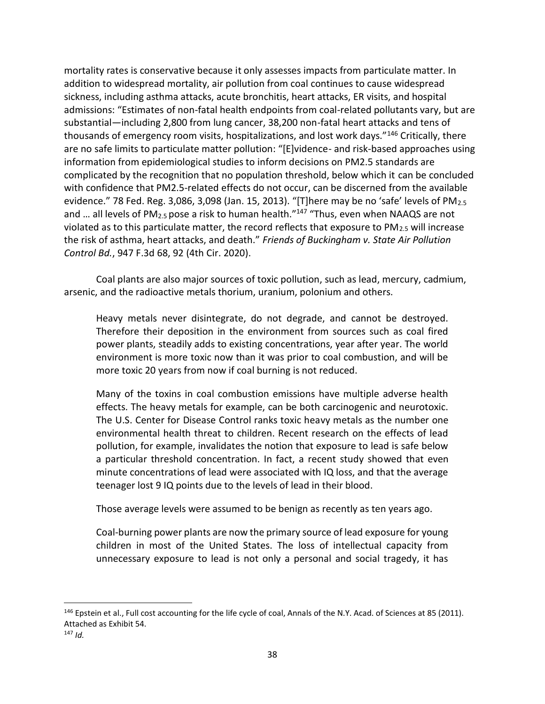mortality rates is conservative because it only assesses impacts from particulate matter. In addition to widespread mortality, air pollution from coal continues to cause widespread sickness, including asthma attacks, acute bronchitis, heart attacks, ER visits, and hospital admissions: "Estimates of non-fatal health endpoints from coal-related pollutants vary, but are substantial—including 2,800 from lung cancer, 38,200 non-fatal heart attacks and tens of thousands of emergency room visits, hospitalizations, and lost work days."<sup>146</sup> Critically, there are no safe limits to particulate matter pollution: "[E]vidence- and risk-based approaches using information from epidemiological studies to inform decisions on PM2.5 standards are complicated by the recognition that no population threshold, below which it can be concluded with confidence that PM2.5-related effects do not occur, can be discerned from the available evidence." 78 Fed. Reg. 3,086, 3,098 (Jan. 15, 2013). "[T]here may be no 'safe' levels of PM<sub>2.5</sub> and ... all levels of PM<sub>2.5</sub> pose a risk to human health."<sup>147</sup> "Thus, even when NAAQS are not violated as to this particulate matter, the record reflects that exposure to  $PM_{2.5}$  will increase the risk of asthma, heart attacks, and death." *Friends of Buckingham v. State Air Pollution Control Bd.*, 947 F.3d 68, 92 (4th Cir. 2020).

Coal plants are also major sources of toxic pollution, such as lead, mercury, cadmium, arsenic, and the radioactive metals thorium, uranium, polonium and others.

Heavy metals never disintegrate, do not degrade, and cannot be destroyed. Therefore their deposition in the environment from sources such as coal fired power plants, steadily adds to existing concentrations, year after year. The world environment is more toxic now than it was prior to coal combustion, and will be more toxic 20 years from now if coal burning is not reduced.

Many of the toxins in coal combustion emissions have multiple adverse health effects. The heavy metals for example, can be both carcinogenic and neurotoxic. The U.S. Center for Disease Control ranks toxic heavy metals as the number one environmental health threat to children. Recent research on the effects of lead pollution, for example, invalidates the notion that exposure to lead is safe below a particular threshold concentration. In fact, a recent study showed that even minute concentrations of lead were associated with IQ loss, and that the average teenager lost 9 IQ points due to the levels of lead in their blood.

Those average levels were assumed to be benign as recently as ten years ago.

Coal-burning power plants are now the primary source of lead exposure for young children in most of the United States. The loss of intellectual capacity from unnecessary exposure to lead is not only a personal and social tragedy, it has

<sup>&</sup>lt;sup>146</sup> Epstein et al., Full cost accounting for the life cycle of coal, Annals of the N.Y. Acad. of Sciences at 85 (2011). Attached as Exhibit 54.

 $147$  *Id.*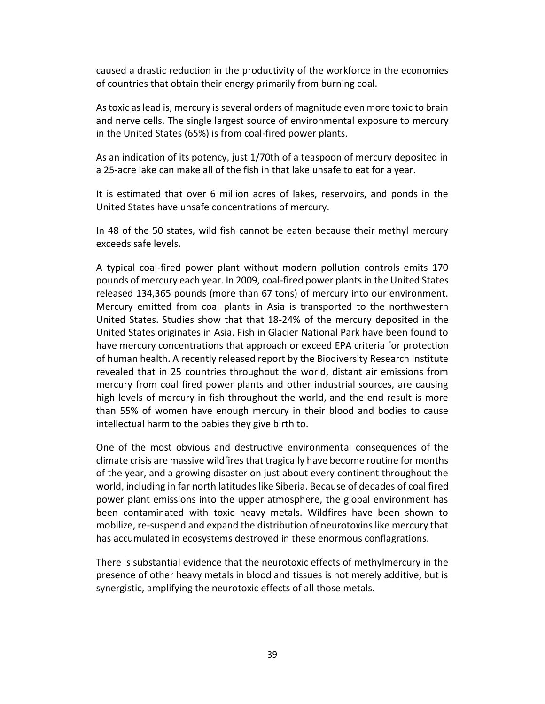caused a drastic reduction in the productivity of the workforce in the economies of countries that obtain their energy primarily from burning coal.

As toxic as lead is, mercury is several orders of magnitude even more toxic to brain and nerve cells. The single largest source of environmental exposure to mercury in the United States (65%) is from coal-fired power plants.

As an indication of its potency, just 1/70th of a teaspoon of mercury deposited in a 25-acre lake can make all of the fish in that lake unsafe to eat for a year.

It is estimated that over 6 million acres of lakes, reservoirs, and ponds in the United States have unsafe concentrations of mercury.

In 48 of the 50 states, wild fish cannot be eaten because their methyl mercury exceeds safe levels.

A typical coal-fired power plant without modern pollution controls emits 170 pounds of mercury each year. In 2009, coal-fired power plants in the United States released 134,365 pounds (more than 67 tons) of mercury into our environment. Mercury emitted from coal plants in Asia is transported to the northwestern United States. Studies show that that 18-24% of the mercury deposited in the United States originates in Asia. Fish in Glacier National Park have been found to have mercury concentrations that approach or exceed EPA criteria for protection of human health. A recently released report by the Biodiversity Research Institute revealed that in 25 countries throughout the world, distant air emissions from mercury from coal fired power plants and other industrial sources, are causing high levels of mercury in fish throughout the world, and the end result is more than 55% of women have enough mercury in their blood and bodies to cause intellectual harm to the babies they give birth to.

One of the most obvious and destructive environmental consequences of the climate crisis are massive wildfires that tragically have become routine for months of the year, and a growing disaster on just about every continent throughout the world, including in far north latitudes like Siberia. Because of decades of coal fired power plant emissions into the upper atmosphere, the global environment has been contaminated with toxic heavy metals. Wildfires have been shown to mobilize, re-suspend and expand the distribution of neurotoxins like mercury that has accumulated in ecosystems destroyed in these enormous conflagrations.

There is substantial evidence that the neurotoxic effects of methylmercury in the presence of other heavy metals in blood and tissues is not merely additive, but is synergistic, amplifying the neurotoxic effects of all those metals.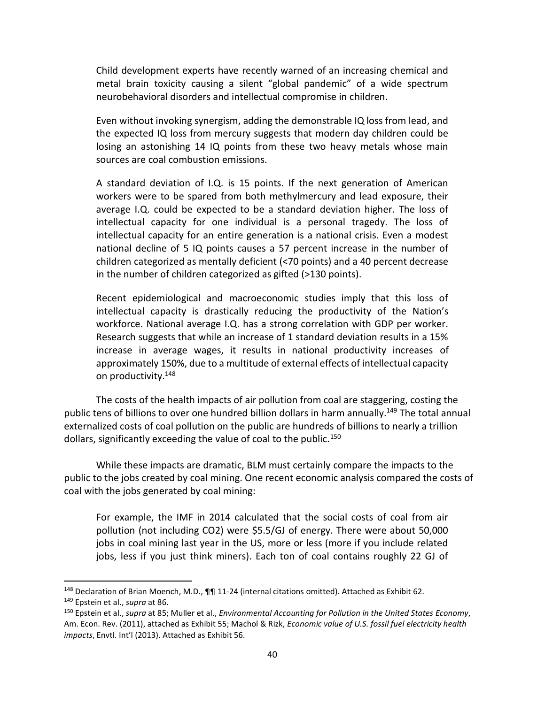Child development experts have recently warned of an increasing chemical and metal brain toxicity causing a silent "global pandemic" of a wide spectrum neurobehavioral disorders and intellectual compromise in children.

Even without invoking synergism, adding the demonstrable IQ loss from lead, and the expected IQ loss from mercury suggests that modern day children could be losing an astonishing 14 IQ points from these two heavy metals whose main sources are coal combustion emissions.

A standard deviation of I.Q. is 15 points. If the next generation of American workers were to be spared from both methylmercury and lead exposure, their average I.Q. could be expected to be a standard deviation higher. The loss of intellectual capacity for one individual is a personal tragedy. The loss of intellectual capacity for an entire generation is a national crisis. Even a modest national decline of 5 IQ points causes a 57 percent increase in the number of children categorized as mentally deficient (<70 points) and a 40 percent decrease in the number of children categorized as gifted (>130 points).

Recent epidemiological and macroeconomic studies imply that this loss of intellectual capacity is drastically reducing the productivity of the Nation's workforce. National average I.Q. has a strong correlation with GDP per worker. Research suggests that while an increase of 1 standard deviation results in a 15% increase in average wages, it results in national productivity increases of approximately 150%, due to a multitude of external effects of intellectual capacity on productivity.<sup>148</sup>

The costs of the health impacts of air pollution from coal are staggering, costing the public tens of billions to over one hundred billion dollars in harm annually.<sup>149</sup> The total annual externalized costs of coal pollution on the public are hundreds of billions to nearly a trillion dollars, significantly exceeding the value of coal to the public.<sup>150</sup>

While these impacts are dramatic, BLM must certainly compare the impacts to the public to the jobs created by coal mining. One recent economic analysis compared the costs of coal with the jobs generated by coal mining:

For example, the IMF in 2014 calculated that the social costs of coal from air pollution (not including CO2) were \$5.5/GJ of energy. There were about 50,000 jobs in coal mining last year in the US, more or less (more if you include related jobs, less if you just think miners). Each ton of coal contains roughly 22 GJ of

<sup>148</sup> Declaration of Brian Moench, M.D.,  $\P\P$ 11-24 (internal citations omitted). Attached as Exhibit 62.

<sup>149</sup> Epstein et al., *supra* at 86.

<sup>150</sup> Epstein et al., *supra* at 85; Muller et al., *Environmental Accounting for Pollution in the United States Economy*, Am. Econ. Rev. (2011), attached as Exhibit 55; Machol & Rizk, *Economic value of U.S. fossil fuel electricity health impacts*, Envtl. Int'l (2013). Attached as Exhibit 56.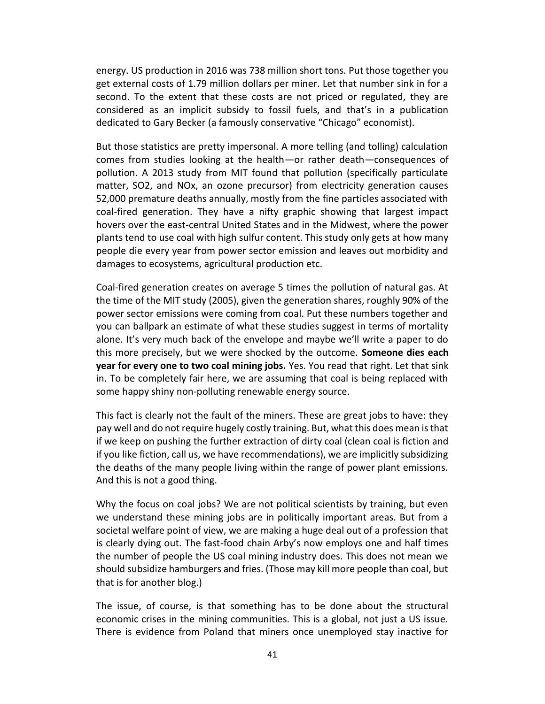energy. US production in 2016 was 738 million short tons. Put those together you get external costs of 1.79 million dollars per miner. Let that number sink in for a second. To the extent that these costs are not priced or regulated, they are considered as an implicit subsidy to fossil fuels, and that's in a publication dedicated to Gary Becker (a famously conservative "Chicago" economist).

But those statistics are pretty impersonal. A more telling (and tolling) calculation comes from studies looking at the health—or rather death—consequences of pollution. A 2013 study from MIT found that pollution (specifically particulate matter, SO2, and NOx, an ozone precursor) from electricity generation causes 52,000 premature deaths annually, mostly from the fine particles associated with coal-fired generation. They have a nifty graphic showing that largest impact hovers over the east-central United States and in the Midwest, where the power plants tend to use coal with high sulfur content. This study only gets at how many people die every year from power sector emission and leaves out morbidity and damages to ecosystems, agricultural production etc.

Coal-fired generation creates on average 5 times the pollution of natural gas. At the time of the MIT study (2005), given the generation shares, roughly 90% of the power sector emissions were coming from coal. Put these numbers together and you can ballpark an estimate of what these studies suggest in terms of mortality alone. It's very much back of the envelope and maybe we'll write a paper to do this more precisely, but we were shocked by the outcome. **Someone dies each year for every one to two coal mining jobs.** Yes. You read that right. Let that sink in. To be completely fair here, we are assuming that coal is being replaced with some happy shiny non-polluting renewable energy source.

This fact is clearly not the fault of the miners. These are great jobs to have: they pay well and do not require hugely costly training. But, what this does mean is that if we keep on pushing the further extraction of dirty coal (clean coal is fiction and if you like fiction, call us, we have recommendations), we are implicitly subsidizing the deaths of the many people living within the range of power plant emissions. And this is not a good thing.

Why the focus on coal jobs? We are not political scientists by training, but even we understand these mining jobs are in politically important areas. But from a societal welfare point of view, we are making a huge deal out of a profession that is clearly dying out. The fast-food chain Arby's now employs one and half times the number of people the US coal mining industry does. This does not mean we should subsidize hamburgers and fries. (Those may kill more people than coal, but that is for another blog.)

The issue, of course, is that something has to be done about the structural economic crises in the mining communities. This is a global, not just a US issue. There is evidence from Poland that miners once unemployed stay inactive for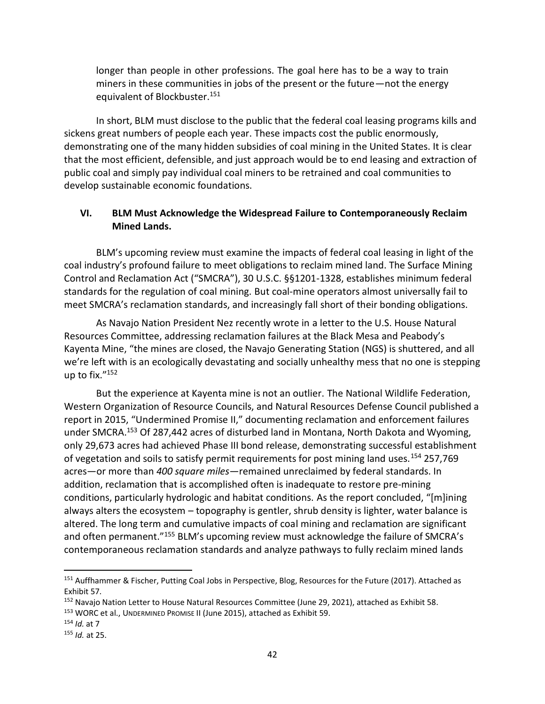longer than people in other professions. The goal here has to be a way to train miners in these communities in jobs of the present or the future—not the energy equivalent of Blockbuster.<sup>151</sup>

In short, BLM must disclose to the public that the federal coal leasing programs kills and sickens great numbers of people each year. These impacts cost the public enormously, demonstrating one of the many hidden subsidies of coal mining in the United States. It is clear that the most efficient, defensible, and just approach would be to end leasing and extraction of public coal and simply pay individual coal miners to be retrained and coal communities to develop sustainable economic foundations.

## **VI. BLM Must Acknowledge the Widespread Failure to Contemporaneously Reclaim Mined Lands.**

BLM's upcoming review must examine the impacts of federal coal leasing in light of the coal industry's profound failure to meet obligations to reclaim mined land. The Surface Mining Control and Reclamation Act ("SMCRA"), 30 U.S.C. §§1201-1328, establishes minimum federal standards for the regulation of coal mining. But coal-mine operators almost universally fail to meet SMCRA's reclamation standards, and increasingly fall short of their bonding obligations.

As Navajo Nation President Nez recently wrote in a letter to the U.S. House Natural Resources Committee, addressing reclamation failures at the Black Mesa and Peabody's Kayenta Mine, "the mines are closed, the Navajo Generating Station (NGS) is shuttered, and all we're left with is an ecologically devastating and socially unhealthy mess that no one is stepping up to fix."<sup>152</sup>

But the experience at Kayenta mine is not an outlier. The National Wildlife Federation, Western Organization of Resource Councils, and Natural Resources Defense Council published a report in 2015, "Undermined Promise II," documenting reclamation and enforcement failures under SMCRA.<sup>153</sup> Of 287,442 acres of disturbed land in Montana, North Dakota and Wyoming, only 29,673 acres had achieved Phase III bond release, demonstrating successful establishment of vegetation and soils to satisfy permit requirements for post mining land uses.<sup>154</sup> 257,769 acres—or more than *400 square miles*—remained unreclaimed by federal standards. In addition, reclamation that is accomplished often is inadequate to restore pre-mining conditions, particularly hydrologic and habitat conditions. As the report concluded, "[m]ining always alters the ecosystem – topography is gentler, shrub density is lighter, water balance is altered. The long term and cumulative impacts of coal mining and reclamation are significant and often permanent."<sup>155</sup> BLM's upcoming review must acknowledge the failure of SMCRA's contemporaneous reclamation standards and analyze pathways to fully reclaim mined lands

<sup>&</sup>lt;sup>151</sup> Auffhammer & Fischer, Putting Coal Jobs in Perspective, Blog, Resources for the Future (2017). Attached as Exhibit 57.

<sup>152</sup> Navajo Nation Letter to House Natural Resources Committee (June 29, 2021), attached as Exhibit 58.

<sup>153</sup> WORC et al., UNDERMINED PROMISE II (June 2015), attached as Exhibit 59.

<sup>154</sup> *Id.* at 7

<sup>155</sup> *Id.* at 25.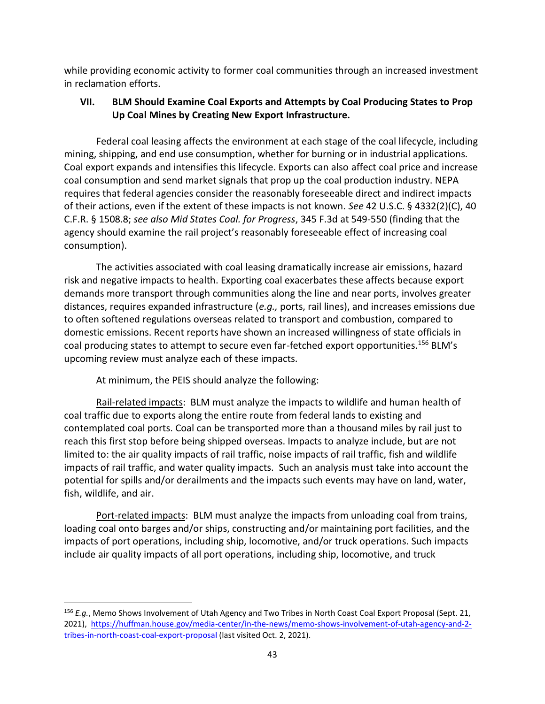while providing economic activity to former coal communities through an increased investment in reclamation efforts.

# **VII. BLM Should Examine Coal Exports and Attempts by Coal Producing States to Prop Up Coal Mines by Creating New Export Infrastructure.**

Federal coal leasing affects the environment at each stage of the coal lifecycle, including mining, shipping, and end use consumption, whether for burning or in industrial applications. Coal export expands and intensifies this lifecycle. Exports can also affect coal price and increase coal consumption and send market signals that prop up the coal production industry. NEPA requires that federal agencies consider the reasonably foreseeable direct and indirect impacts of their actions, even if the extent of these impacts is not known. *See* 42 U.S.C. § 4332(2)(C), 40 C.F.R. § 1508.8; *see also Mid States Coal. for Progress*, 345 F.3d at 549-550 (finding that the agency should examine the rail project's reasonably foreseeable effect of increasing coal consumption).

The activities associated with coal leasing dramatically increase air emissions, hazard risk and negative impacts to health. Exporting coal exacerbates these affects because export demands more transport through communities along the line and near ports, involves greater distances, requires expanded infrastructure (*e.g.,* ports, rail lines), and increases emissions due to often softened regulations overseas related to transport and combustion, compared to domestic emissions. Recent reports have shown an increased willingness of state officials in coal producing states to attempt to secure even far-fetched export opportunities.<sup>156</sup> BLM's upcoming review must analyze each of these impacts.

At minimum, the PEIS should analyze the following:

l

Rail-related impacts: BLM must analyze the impacts to wildlife and human health of coal traffic due to exports along the entire route from federal lands to existing and contemplated coal ports. Coal can be transported more than a thousand miles by rail just to reach this first stop before being shipped overseas. Impacts to analyze include, but are not limited to: the air quality impacts of rail traffic, noise impacts of rail traffic, fish and wildlife impacts of rail traffic, and water quality impacts. Such an analysis must take into account the potential for spills and/or derailments and the impacts such events may have on land, water, fish, wildlife, and air.

Port-related impacts: BLM must analyze the impacts from unloading coal from trains, loading coal onto barges and/or ships, constructing and/or maintaining port facilities, and the impacts of port operations, including ship, locomotive, and/or truck operations. Such impacts include air quality impacts of all port operations, including ship, locomotive, and truck

<sup>156</sup> *E.g.*, Memo Shows Involvement of Utah Agency and Two Tribes in North Coast Coal Export Proposal (Sept. 21, 2021), [https://huffman.house.gov/media-center/in-the-news/memo-shows-involvement-of-utah-agency-and-2](https://huffman.house.gov/media-center/in-the-news/memo-shows-involvement-of-utah-agency-and-2-tribes-in-north-coast-coal-export-proposal) [tribes-in-north-coast-coal-export-proposal](https://huffman.house.gov/media-center/in-the-news/memo-shows-involvement-of-utah-agency-and-2-tribes-in-north-coast-coal-export-proposal) (last visited Oct. 2, 2021).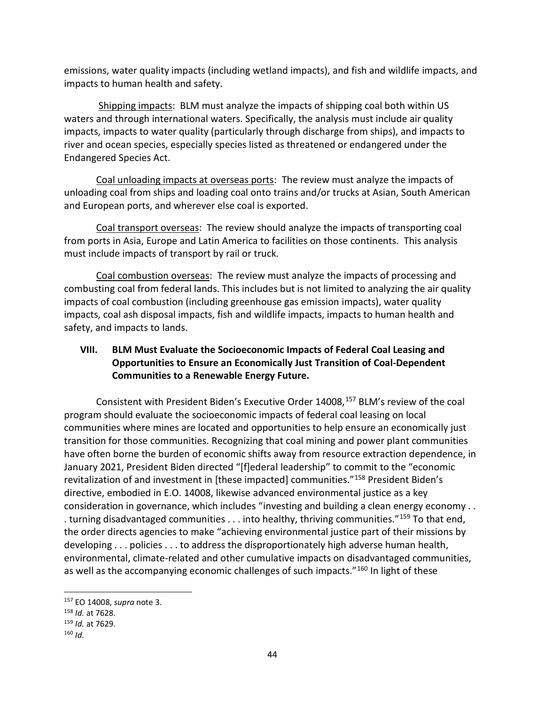emissions, water quality impacts (including wetland impacts), and fish and wildlife impacts, and impacts to human health and safety.

Shipping impacts: BLM must analyze the impacts of shipping coal both within US waters and through international waters. Specifically, the analysis must include air quality impacts, impacts to water quality (particularly through discharge from ships), and impacts to river and ocean species, especially species listed as threatened or endangered under the Endangered Species Act.

Coal unloading impacts at overseas ports: The review must analyze the impacts of unloading coal from ships and loading coal onto trains and/or trucks at Asian, South American and European ports, and wherever else coal is exported.

Coal transport overseas: The review should analyze the impacts of transporting coal from ports in Asia, Europe and Latin America to facilities on those continents. This analysis must include impacts of transport by rail or truck.

Coal combustion overseas: The review must analyze the impacts of processing and combusting coal from federal lands. This includes but is not limited to analyzing the air quality impacts of coal combustion (including greenhouse gas emission impacts), water quality impacts, coal ash disposal impacts, fish and wildlife impacts, impacts to human health and safety, and impacts to lands.

# **VIII. BLM Must Evaluate the Socioeconomic Impacts of Federal Coal Leasing and Opportunities to Ensure an Economically Just Transition of Coal-Dependent Communities to a Renewable Energy Future.**

Consistent with President Biden's Executive Order 14008,<sup>157</sup> BLM's review of the coal program should evaluate the socioeconomic impacts of federal coal leasing on local communities where mines are located and opportunities to help ensure an economically just transition for those communities. Recognizing that coal mining and power plant communities have often borne the burden of economic shifts away from resource extraction dependence, in January 2021, President Biden directed "[f]ederal leadership" to commit to the "economic revitalization of and investment in [these impacted] communities."<sup>158</sup> President Biden's directive, embodied in E.O. 14008, likewise advanced environmental justice as a key consideration in governance, which includes "investing and building a clean energy economy . . . turning disadvantaged communities . . . into healthy, thriving communities."<sup>159</sup> To that end, the order directs agencies to make "achieving environmental justice part of their missions by developing . . . policies . . . to address the disproportionately high adverse human health, environmental, climate-related and other cumulative impacts on disadvantaged communities, as well as the accompanying economic challenges of such impacts."<sup>160</sup> In light of these

<sup>157</sup> EO 14008, *supra* note 3.

<sup>158</sup> *Id.* at 7628.

<sup>159</sup> *Id.* at 7629.

 $160$  *Id.*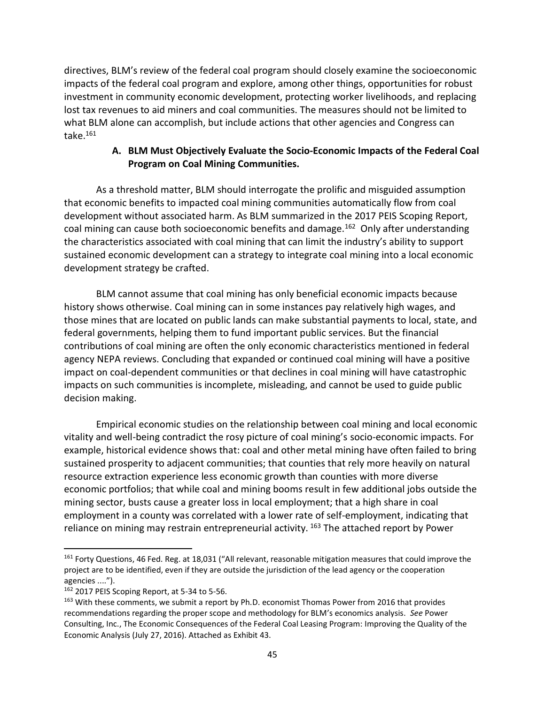directives, BLM's review of the federal coal program should closely examine the socioeconomic impacts of the federal coal program and explore, among other things, opportunities for robust investment in community economic development, protecting worker livelihoods, and replacing lost tax revenues to aid miners and coal communities. The measures should not be limited to what BLM alone can accomplish, but include actions that other agencies and Congress can take.<sup>161</sup>

### **A. BLM Must Objectively Evaluate the Socio-Economic Impacts of the Federal Coal Program on Coal Mining Communities.**

As a threshold matter, BLM should interrogate the prolific and misguided assumption that economic benefits to impacted coal mining communities automatically flow from coal development without associated harm. As BLM summarized in the 2017 PEIS Scoping Report, coal mining can cause both socioeconomic benefits and damage.<sup>162</sup> Only after understanding the characteristics associated with coal mining that can limit the industry's ability to support sustained economic development can a strategy to integrate coal mining into a local economic development strategy be crafted.

BLM cannot assume that coal mining has only beneficial economic impacts because history shows otherwise. Coal mining can in some instances pay relatively high wages, and those mines that are located on public lands can make substantial payments to local, state, and federal governments, helping them to fund important public services. But the financial contributions of coal mining are often the only economic characteristics mentioned in federal agency NEPA reviews. Concluding that expanded or continued coal mining will have a positive impact on coal-dependent communities or that declines in coal mining will have catastrophic impacts on such communities is incomplete, misleading, and cannot be used to guide public decision making.

Empirical economic studies on the relationship between coal mining and local economic vitality and well-being contradict the rosy picture of coal mining's socio-economic impacts. For example, historical evidence shows that: coal and other metal mining have often failed to bring sustained prosperity to adjacent communities; that counties that rely more heavily on natural resource extraction experience less economic growth than counties with more diverse economic portfolios; that while coal and mining booms result in few additional jobs outside the mining sector, busts cause a greater loss in local employment; that a high share in coal employment in a county was correlated with a lower rate of self-employment, indicating that reliance on mining may restrain entrepreneurial activity. <sup>163</sup> The attached report by Power

<sup>&</sup>lt;sup>161</sup> Forty Questions, 46 Fed. Reg. at 18,031 ("All relevant, reasonable mitigation measures that could improve the project are to be identified, even if they are outside the jurisdiction of the lead agency or the cooperation agencies ....").

<sup>162</sup> 2017 PEIS Scoping Report, at 5-34 to 5-56.

<sup>&</sup>lt;sup>163</sup> With these comments, we submit a report by Ph.D. economist Thomas Power from 2016 that provides recommendations regarding the proper scope and methodology for BLM's economics analysis. *See* Power Consulting, Inc., The Economic Consequences of the Federal Coal Leasing Program: Improving the Quality of the Economic Analysis (July 27, 2016). Attached as Exhibit 43.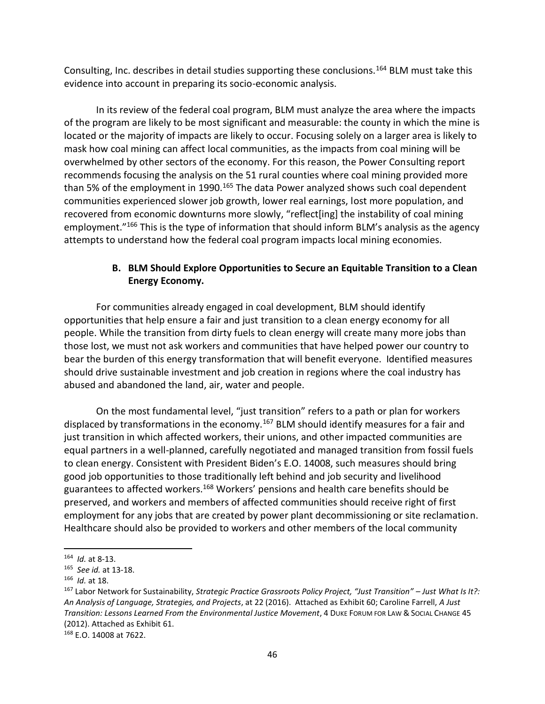Consulting, Inc. describes in detail studies supporting these conclusions.<sup>164</sup> BLM must take this evidence into account in preparing its socio-economic analysis.

In its review of the federal coal program, BLM must analyze the area where the impacts of the program are likely to be most significant and measurable: the county in which the mine is located or the majority of impacts are likely to occur. Focusing solely on a larger area is likely to mask how coal mining can affect local communities, as the impacts from coal mining will be overwhelmed by other sectors of the economy. For this reason, the Power Consulting report recommends focusing the analysis on the 51 rural counties where coal mining provided more than 5% of the employment in 1990.<sup>165</sup> The data Power analyzed shows such coal dependent communities experienced slower job growth, lower real earnings, lost more population, and recovered from economic downturns more slowly, "reflect[ing] the instability of coal mining employment.<sup>"166</sup> This is the type of information that should inform BLM's analysis as the agency attempts to understand how the federal coal program impacts local mining economies.

## **B. BLM Should Explore Opportunities to Secure an Equitable Transition to a Clean Energy Economy.**

For communities already engaged in coal development, BLM should identify opportunities that help ensure a fair and just transition to a clean energy economy for all people. While the transition from dirty fuels to clean energy will create many more jobs than those lost, we must not ask workers and communities that have helped power our country to bear the burden of this energy transformation that will benefit everyone. Identified measures should drive sustainable investment and job creation in regions where the coal industry has abused and abandoned the land, air, water and people.

On the most fundamental level, "just transition" refers to a path or plan for workers displaced by transformations in the economy.<sup>167</sup> BLM should identify measures for a fair and just transition in which affected workers, their unions, and other impacted communities are equal partners in a well-planned, carefully negotiated and managed transition from fossil fuels to clean energy. Consistent with President Biden's E.O. 14008, such measures should bring good job opportunities to those traditionally left behind and job security and livelihood guarantees to affected workers.<sup>168</sup> Workers' pensions and health care benefits should be preserved, and workers and members of affected communities should receive right of first employment for any jobs that are created by power plant decommissioning or site reclamation. Healthcare should also be provided to workers and other members of the local community

 $\overline{a}$ 164 *Id.* at 8-13.

<sup>165</sup> *See id.* at 13-18.

<sup>166</sup> *Id.* at 18.

<sup>167</sup> Labor Network for Sustainability, *Strategic Practice Grassroots Policy Project, "Just Transition" – Just What Is It?: An Analysis of Language, Strategies, and Projects*, at 22 (2016). Attached as Exhibit 60; Caroline Farrell, *A Just Transition: Lessons Learned From the Environmental Justice Movement*, 4 DUKE FORUM FOR LAW & SOCIAL CHANGE 45 (2012). Attached as Exhibit 61.

<sup>168</sup> E.O. 14008 at 7622.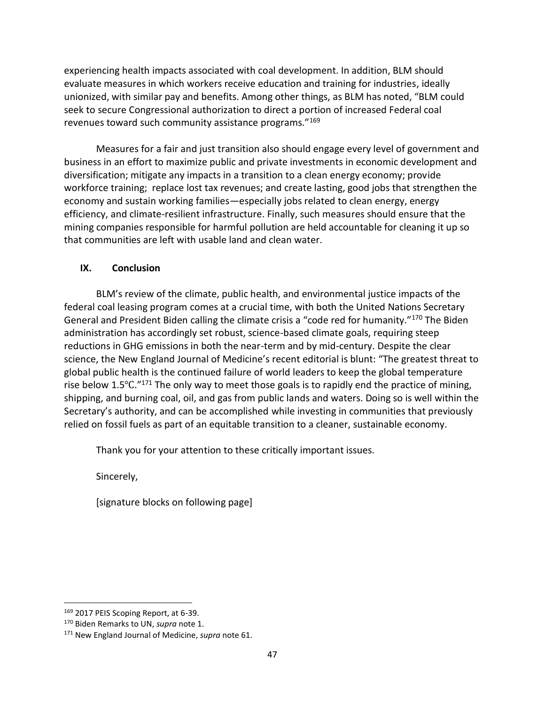experiencing health impacts associated with coal development. In addition, BLM should evaluate measures in which workers receive education and training for industries, ideally unionized, with similar pay and benefits. Among other things, as BLM has noted, "BLM could seek to secure Congressional authorization to direct a portion of increased Federal coal revenues toward such community assistance programs."<sup>169</sup>

Measures for a fair and just transition also should engage every level of government and business in an effort to maximize public and private investments in economic development and diversification; mitigate any impacts in a transition to a clean energy economy; provide workforce training; replace lost tax revenues; and create lasting, good jobs that strengthen the economy and sustain working families—especially jobs related to clean energy, energy efficiency, and climate-resilient infrastructure. Finally, such measures should ensure that the mining companies responsible for harmful pollution are held accountable for cleaning it up so that communities are left with usable land and clean water.

# **IX. Conclusion**

BLM's review of the climate, public health, and environmental justice impacts of the federal coal leasing program comes at a crucial time, with both the United Nations Secretary General and President Biden calling the climate crisis a "code red for humanity."<sup>170</sup> The Biden administration has accordingly set robust, science-based climate goals, requiring steep reductions in GHG emissions in both the near-term and by mid-century. Despite the clear science, the New England Journal of Medicine's recent editorial is blunt: "The greatest threat to global public health is the continued failure of world leaders to keep the global temperature rise below 1.5℃."<sup>171</sup> The only way to meet those goals is to rapidly end the practice of mining, shipping, and burning coal, oil, and gas from public lands and waters. Doing so is well within the Secretary's authority, and can be accomplished while investing in communities that previously relied on fossil fuels as part of an equitable transition to a cleaner, sustainable economy.

Thank you for your attention to these critically important issues.

Sincerely,

[signature blocks on following page]

<sup>169 2017</sup> PEIS Scoping Report, at 6-39.

<sup>170</sup> Biden Remarks to UN, *supra* note 1.

<sup>171</sup> New England Journal of Medicine, *supra* note 61.